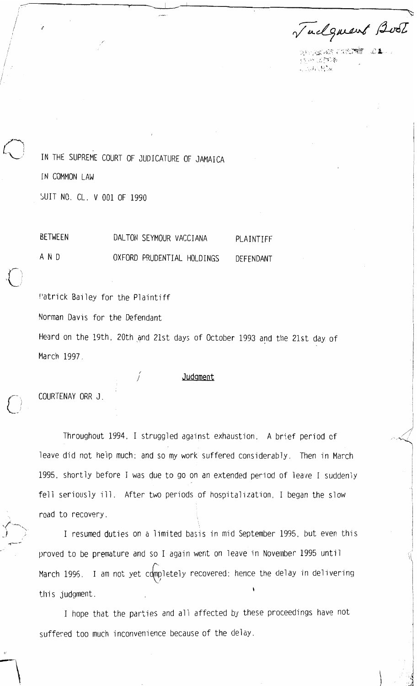Tuelquent Boot

 $\sim$  and a second  $\sim$  and  $\sim$  $\mathcal{N} \subseteq \mathcal{N}$  and  $\mathcal{N}$  $\mathbb{R}^d \cap \mathbb{R}^d$  , we

IN THE SUPREME COURT OF JUDICATURE OF JAMAICA IN COMMON LAW SUIT NO. CL. V 001 OF 1990

BETWEEN DALTON SEYMOUR VACCIANA PLAINTIFF AND OXFORD PRUDENTIAL HOLDINGS DEFENDANT

Patrick Bailey for the Plaintiff Norman Davis for the Defendant Heard on the 19th, 20th and 21st days of October 1993 and the 21st day of March 1997.

COURTENAY ORR J.

.<br>-<br>-

Throughout 1994. I struggled against exhaustion. A brief period of leave did not help much; and so my work suffered considerably. Then in March 1995, shortly before I was due to go on an extended period of leave I suddenly fell seriously ill. After two periods of hospitalization, I began the slow road to recovery.

Judgment

I resumed duties on a limited basis in mid September 1995, but even this proved to be premature and so I again went on leave in November 1995 until March 1996. I am not yet completely recovered: hence the delay in delivering this judgment.

I hope that the parties and all affected by these proceedings have not suffered too much inconvenience because of the delay.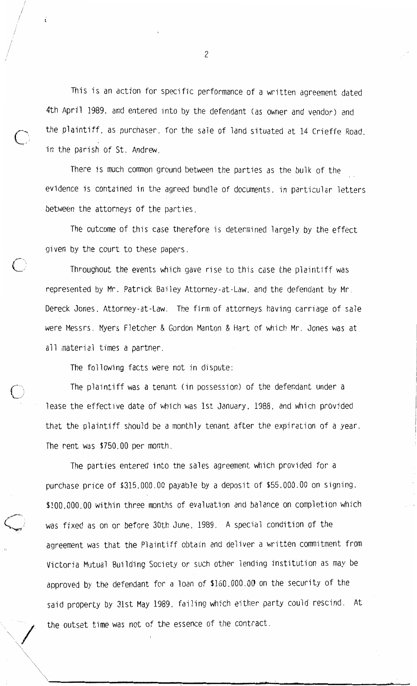This is an action for specific performance of a written agreement dated 4th April 1989, and entered into by the defendant (as owner and vendor) and the plaintiff, as purchaser, for the sale of land situated at 14 Crieffe Road, in the parish of St. Andrew.

There is much common ground between the parties as the bulk of the evidence is contained in the agreed bundle of documents, in particular letters between the attorneys of the parties.

The outcome of this case therefore is determined largely by the effect given by the court to these papers.

Throughout the events which gave rise to this case the plaintiff was represented by Mr. Patrick Bailey Attorney-at-Law, and the defendant by Mr. Dereck Jones, Attorney-at-Law. The firm of attorneys having carriage of sale were Messrs. Myers Fletcher & Gordon Manton & Hart of which Mr. Jones was at all material times a partner.

The following facts were not in dispute:

The plaintiff was a tenant (in possession) of the defendant under a lease the effective date of which was 1st January, 1988, and which provided that the plaintiff should be a monthly tenant after the expiration of a year. The rent was \$750.00 per month.

The parties entered into the sales agreement which provided for a purchase price of \$315,000.00 payable by a deposit of \$55,000.00 on signing, \$100,000.00 within three months of evaluation and balance on completion which was fixed as on or before 30th June, 1989. A special condition of the agreement was that the Plaintiff obtain and deliver a written commitment from Victoria Mutual Building Society or such other lending institution as may be approved by the defendant for a loan of \$160,000.00 on the security of the said property by 31st May 1989, failing which either party could rescind. At the outset time was not of the essence of the contract.

 $\overline{c}$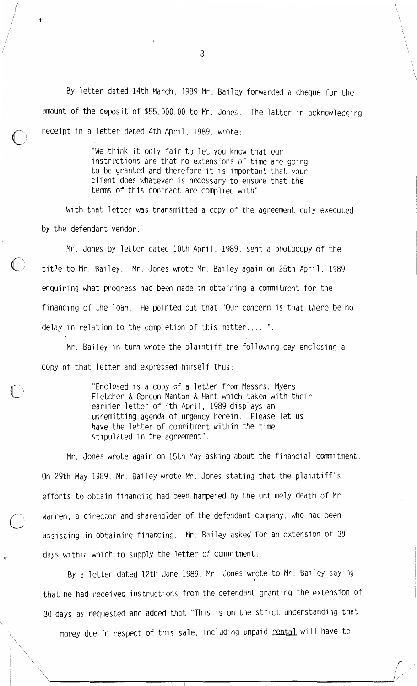By letter dated 14th March, 1989 Mr. Bailey forwarded a cheque for the amount of the deposit of \$55,000.00 to Mr. Jones. The latter in acknowledging receipt in a letter dated 4th April, 1989, wrote:

> "We think it only fair to let you know that our instructions are that no extensions of time are going to be granted and therefore it is important that your client does whatever is necessary to ensure that the terms of this contract are complied with".

With that letter was transmitted a copy of the agreement duly executed by the defendant vendor.

Mr. Jones by letter dated 10th April, 1989, sent a photocopy of the title to Mr. Bailey. Mr. Jones wrote Mr. Bailey again on 25th April, 1989 enquiring what progress had been made in obtaining a commitment for the financing of the loan. He pointed out that "Our concern is that there be no delay in relation to the completion of this matter.....".

Mr. Bailey in turn wrote the plaintiff the following day enclosing a copy of that letter and expressed himself thus:

> "Enclosed is a copy of a letter from Messrs. Myers Fletcher & Gordon Manton & Hart which taken with their earlier letter of 4th April, 1989 displays an unremitting agenda of urgency herein. Please let us have the letter of commitment within the time stipulated in the agreement".

Mr. Jones wrote again on 15th May asking about the financial commitment. On 29th May 1989, Mr. Bailey wrote Mr. Jones stating that the plaintiff's efforts to obtain financing had been hampered by the untimely death of Mr. Warren, a director and shareholder of the defendant company, who had been assisting in obtaining financing. Mr. Bailey asked for an extension of 30 days within which to supply the letter of commitment.

By a letter dated 12th June 1989, Mr. Jones wrote to Mr. Bailey saying that he had received instructions from the defendant granting the extension of 30 days as requested and added that "This is on the strict understanding that money due in respect of this sale, including unpaid rental will have to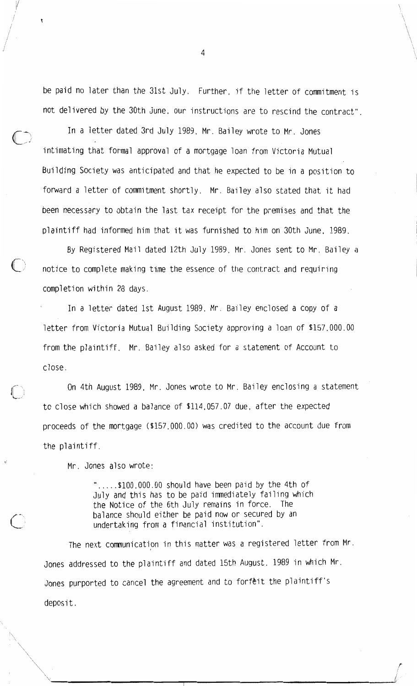be paid no later than the 31st July. Further, if the letter of commitment is not delivered by the 30th June, our instructions are to rescind the contract".

In a letter dated 3rd July 1989, Mr. Bailey wrote to Mr. Jones intimating that formal approval of a mortgage loan from Victoria Mutual Building Society was anticipated and that he expected to be in a position to forward a letter of commitment shortly. Mr. Bailey also stated that it had been necessary to obtain the last tax receipt for the premises and that the plaintiff had informed him that it was furnished to him on 30th June, 1989.

By Registered Mail dated 12th July 1989, Mr. Jones sent to Mr. Bailey a notice to complete making time the essence of the contract and requiring completion within 28 days.

In a letter dated 1st August 1989, Mr. Bailey enclosed a copy of a letter from Victoria Mutual Building Society approving a loan of \$157,000.00 from the plaintiff. Mr. Bailey also asked for a statement of Account to close.

On 4th August 1989, Mr. Jones wrote to Mr. Bailey enclosing a statement to close which showed a balance of \$114,057.07 due, after the expected proceeds of the mortgage (\$157,000.00) was credited to the account due from the plaintiff.

Mr. Jones also wrote:

".... $$100,000.00$  should have been paid by the 4th of July and this has to be paid immediately failing which the Notice of the 6th July remains in force. The balance should either be paid now or secured by an undertaking from a financial institution".

The next communication in this matter was a registered letter from Mr. Jones addressed to the plaintiff and dated 15th August. 1989 in which Mr. Jones purported to cancel the agreement and to forfeit the plaintiff's deposit.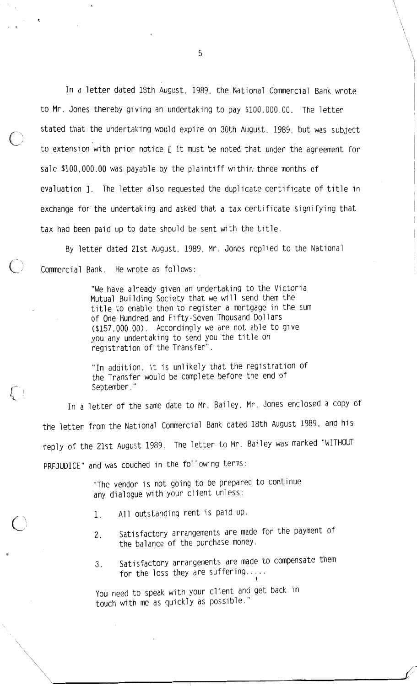In a letter dated 18th August, 1989, the National Commercial Bank wrote to Mr. Jones thereby giving an undertaking to pay \$100,000.00. The letter stated that the undertaking would expire on 30th August. 1989, but was subject to extension with prior notice [ It must be noted that under the agreement for sale \$100,000.00 was payable by the plaintiff within three months of evaluation ]. The letter also requested the duplicate certificate of title in exchange for the undertaking and asked that a tax certificate signifying that tax had been paid up to date should be sent with the title.

By letter dated 21st August, 1989, Mr. Jones replied to the National Commercial Bank. He wrote as follows:

> "We have already given an undertaking to the Victoria Mutual Building Society that we will send them the title to enable them to register a mortgage in the sum of One Hundred and Fifty-Seven Thousand Dollars (\$157,000.00). Accordingly we are not able to give you any undertaking to send you the title on registration of the Transfer".

"In addition, it is unlikely that the registration of the Transfer would be complete before the end of September."

In a letter of the same date to Mr. Bailey, Mr. Jones enclosed a copy of the letter from the National Commercial Bank dated 18th August 1989, and his reply of the 21st August 1989. The letter to Mr. Bailey was marked "WITHOUT PREJUDICE" and was couched in the following terms:

> "The vendor is not going to be prepared to continue any dialogue with your client unless:

All outstanding rent is paid up. 1.

 $l_{\perp}$  :

- Satisfactory arrangements are made for the payment of 2. the balance of the purchase money.
- Satisfactory arrangements are made to compensate them 3. for the loss they are suffering.

You need to speak with your client and get back in touch with me as quickly as possible."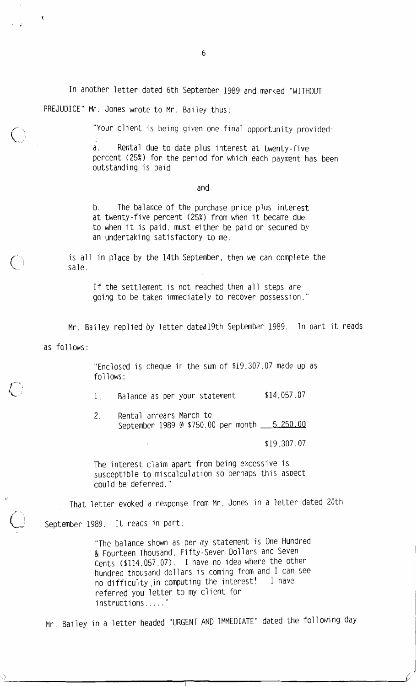In another letter dated 6th September 1989 and marked "WITHOUT

PREJUDICE" Mr. Jones wrote to Mr. Bailey thus:

"Your client is being given one final opportunity provided:

Rental due to date plus interest at twenty-five a. percent (25%) for the period for which each payment has been outstanding is paid

and

The balance of the purchase price plus interest b. at twenty-five percent (25%) from when it became due to when it is paid, must either be paid or secured by an undertaking satisfactory to me.

is all in place by the 14th September, then we can complete the sale.

If the settlement is not reached then all steps are going to be taken immediately to recover possession."

Mr. Bailey replied by letter dated 19th September 1989. In part it reads

as follows:

"Enclosed is cheque in the sum of \$19,307.07 made up as follows:

\$14,057.07  $1_{\cdot}$ Balance as per your statement

 $2<sub>1</sub>$ Rental arrears March to September 1989 @ \$750.00 per month \_\_ 5.250.00

\$19,307.07

The interest claim apart from being excessive is susceptible to miscalculation so perhaps this aspect could be deferred."

That letter evoked a response from Mr. Jones in a letter dated 20th

September 1989. It reads in part:

"The balance shown as per my statement is One Hundred & Fourteen Thousand, Fifty-Seven Dollars and Seven Cents (\$114,057.07). I have no idea where the other hundred thousand dollars is coming from and I can see no difficulty in computing the interest! I have referred you letter to my client for instructions....."

Mr. Bailey in a letter headed "URGENT AND IMMEDIATE" dated the following day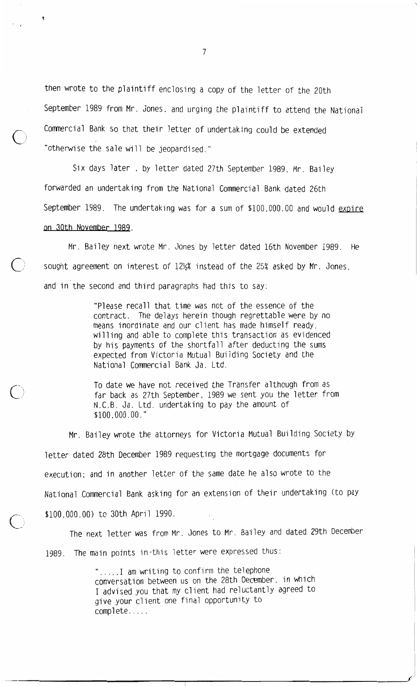then wrote to the plaintiff enclosing a copy of the letter of the 20th September 1989 from Mr. Jones, and urging the plaintiff to attend the National Commercial Bank so that their letter of undertaking could be extended "otherwise the sale will be jeopardised."

Six days later, by letter dated 27th September 1989, Mr. Bailey forwarded an undertaking from the National Commercial Bank dated 26th September 1989. The undertaking was for a sum of \$100,000.00 and would expire on 30th November 1989.

Mr. Bailey next wrote Mr. Jones by letter dated 16th November 1989. He sought agreement on interest of 121% instead of the 25% asked by Mr. Jones. and in the second and third paragraphs had this to say:

> "Please recall that time was not of the essence of the contract. The delays herein though regrettable were by no means inordinate and our client has made himself ready, willing and able to complete this transaction as evidenced by his payments of the shortfall after deducting the sums expected from Victoria Mutual Building Society and the National Commercial Bank Ja. Ltd.

To date we have not received the Transfer although from as far back as 27th September, 1989 we sent you the letter from N.C.B. Ja. Ltd. undertaking to pay the amount of  $$100.000.00.$ 

Mr. Bailey wrote the attorneys for Victoria Mutual Building Society by letter dated 28th December 1989 requesting the mortgage documents for execution: and in another letter of the same date he also wrote to the National Commercial Bank asking for an extension of their undertaking (to pay \$100,000.00) to 30th April 1990.

The next letter was from Mr. Jones to Mr. Bailey and dated 29th December

1989. The main points in this letter were expressed thus:

".....I am writing to confirm the telephone conversation between us on the 28th December, in which I advised you that my client had reluctantly agreed to give your client one final opportunity to complete.....

 $\overline{7}$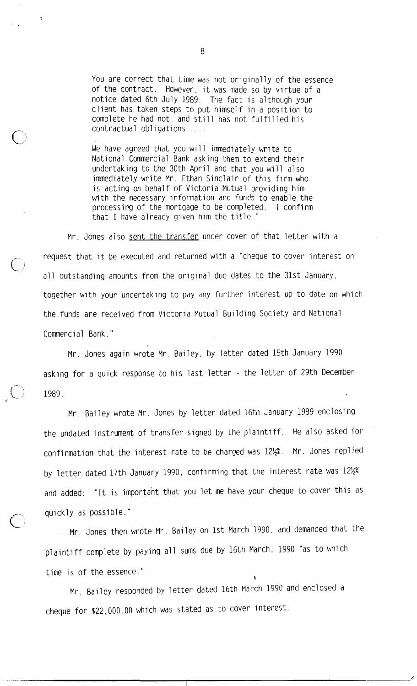You are correct that time was not originally of the essence of the contract. However, it was made so by virtue of a notice dated 6th July 1989. The fact is although your client has taken steps to put himself in a position to complete he had not, and still has not fulfilled his contractual obligations.....

We have agreed that you will immediately write to National Commercial Bank asking them to extend their undertaking to the 30th April and that you will also immediately write Mr. Ethan Sinclair of this firm who is acting on behalf of Victoria Mutual providing him with the necessary information and funds to enable the processing of the mortgage to be completed. I confirm that I have already given him the title."

Mr. Jones also sent the transfer under cover of that letter with a request that it be executed and returned with a "cheque to cover interest on all outstanding amounts from the original due dates to the 31st January, together with your undertaking to pay any further interest up to date on which the funds are received from Victoria Mutual Building Society and National Commercial Bank."

Mr. Jones again wrote Mr. Bailey, by letter dated 15th January 1990 asking for a quick response to his last letter - the letter of 29th December 1989.

Mr. Bailey wrote Mr. Jones by letter dated 16th January 1989 enclosing the undated instrument of transfer signed by the plaintiff. He also asked for confirmation that the interest rate to be charged was 12½%. Mr. Jones replied by letter dated 17th January 1990, confirming that the interest rate was 121/2% and added: "It is important that you let me have your cheque to cover this as quickly as possible."

Mr. Jones then wrote Mr. Bailey on 1st March 1990, and demanded that the plaintiff complete by paying all sums due by 16th March, 1990 "as to which time is of the essence."

Mr. Bailey responded by letter dated 16th March 1990 and enclosed a cheque for \$22,000.00 which was stated as to cover interest.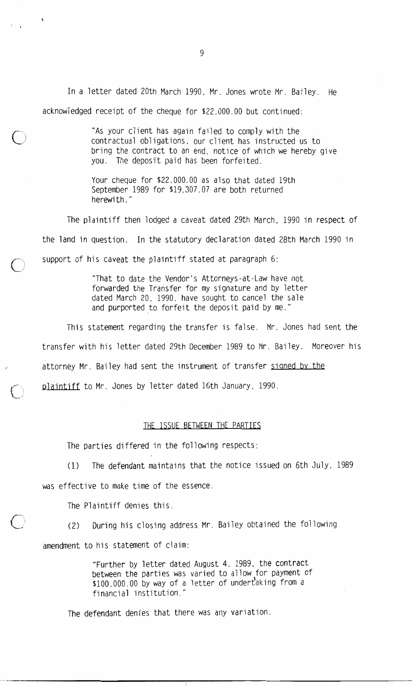In a letter dated 20th March 1990, Mr. Jones wrote Mr. Bailey. He acknowledged receipt of the cheque for \$22,000.00 but continued:

> "As your client has again failed to comply with the contractual obligations, our client has instructed us to bring the contract to an end, notice of which we hereby give you. The deposit paid has been forfeited.

Your cheque for \$22,000.00 as also that dated 19th September 1989 for \$19,307.07 are both returned herewith."

The plaintiff then lodged a caveat dated 29th March, 1990 in respect of the land in question. In the statutory declaration dated 28th March 1990 in support of his caveat the plaintiff stated at paragraph 6:

> "That to date the Vendor's Attorneys-at-Law have not forwarded the Transfer for my signature and by letter dated March 20, 1990, have sought to cancel the sale and purported to forfeit the deposit paid by me."

This statement regarding the transfer is false. Mr. Jones had sent the transfer with his letter dated 29th December 1989 to Mr. Bailey. Moreover his attorney Mr. Bailey had sent the instrument of transfer signed by the plaintiff to Mr. Jones by letter dated 16th January, 1990.

### THE ISSUE BETWEEN THE PARTIES

The parties differed in the following respects:

The defendant maintains that the notice issued on 6th July, 1989  $(1)$ was effective to make time of the essence.

The Plaintiff denies this.

During his closing address Mr. Bailey obtained the following  $(2)$ 

amendment to his statement of claim:

"Further by letter dated August 4. 1989, the contract between the parties was varied to allow for payment of \$100,000.00 by way of a letter of undertaking from a financial institution."

The defendant denies that there was any variation.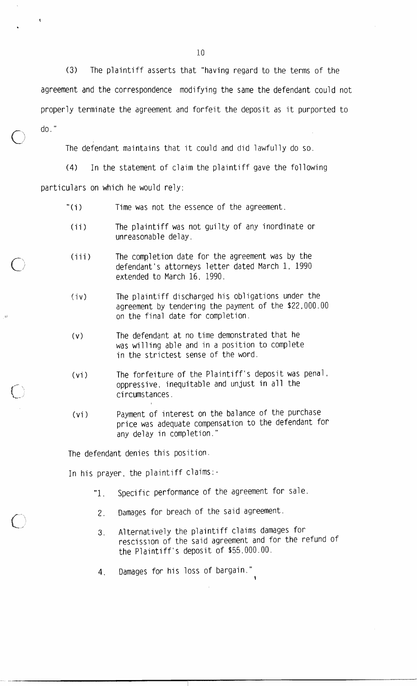$(3)$ The plaintiff asserts that "having regard to the terms of the agreement and the correspondence modifying the same the defendant could not properly terminate the agreement and forfeit the deposit as it purported to

 $do.$ "

The defendant maintains that it could and did lawfully do so.

 $(4)$ In the statement of claim the plaintiff gave the following

particulars on which he would rely:

- " $(i)$ Time was not the essence of the agreement.
- $(i)$ The plaintiff was not guilty of any inordinate or unreasonable delay.
- The completion date for the agreement was by the  $(iii)$ defendant's attorneys letter dated March 1, 1990 extended to March 16, 1990.
- The plaintiff discharged his obligations under the  $(iv)$ agreement by tendering the payment of the \$22,000.00 on the final date for completion.
- The defendant at no time demonstrated that he  $(v)$ was willing able and in a position to complete in the strictest sense of the word.
- The forfeiture of the Plaintiff's deposit was penal,  $(vi)$ oppressive, inequitable and unjust in all the circumstances.
- Payment of interest on the balance of the purchase  $(v<sub>i</sub>)$ price was adequate compensation to the defendant for any delay in completion."

The defendant denies this position.

In his prayer, the plaintiff claims:-

- Specific performance of the agreement for sale.  $"1$ .
- Damages for breach of the said agreement. 2.
- Alternatively the plaintiff claims damages for 3. rescission of the said agreement and for the refund of the Plaintiff's deposit of \$55,000.00.
- Damages for his loss of bargain." 4.

 $10<sup>°</sup>$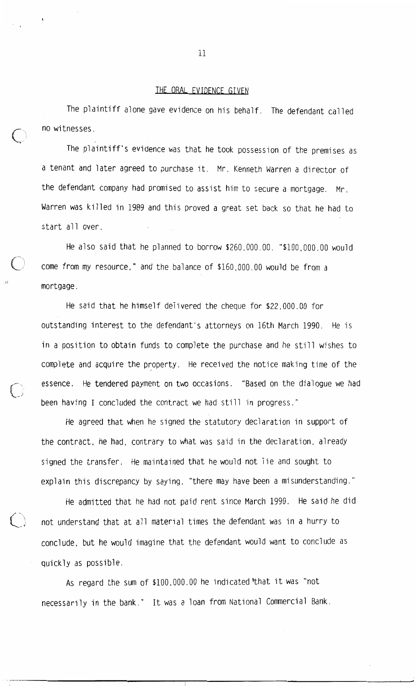#### THE ORAL EVIDENCE GIVEN

The plaintiff alone gave evidence on his behalf. The defendant called no witnesses.

The plaintiff's evidence was that he took possession of the premises as a tenant and later agreed to purchase it. Mr. Kenneth Warren a director of the defendant company had promised to assist him to secure a mortgage. Mr. Warren was killed in 1989 and this proved a great set back so that he had to start all over.

He also said that he planned to borrow \$260,000.00. "\$100,000.00 would come from my resource," and the balance of \$160,000.00 would be from a mortgage.

He said that he himself delivered the cheque for \$22,000.00 for outstanding interest to the defendant's attorneys on 16th March 1990. He is in a position to obtain funds to complete the purchase and he still wishes to complete and acquire the property. He received the notice making time of the essence. He tendered payment on two occasions. "Based on the dialogue we had been having I concluded the contract we had still in progress."

He agreed that when he signed the statutory declaration in support of the contract, he had, contrary to what was said in the declaration, already signed the transfer. He maintained that he would not lie and sought to explain this discrepancy by saying, "there may have been a misunderstanding."

He admitted that he had not paid rent since March 1990. He said he did not understand that at all material times the defendant was in a hurry to conclude, but he would imagine that the defendant would want to conclude as quickly as possible.

As regard the sum of \$100,000.00 he indicated that it was "not necessarily in the bank." It was a loan from National Commercial Bank.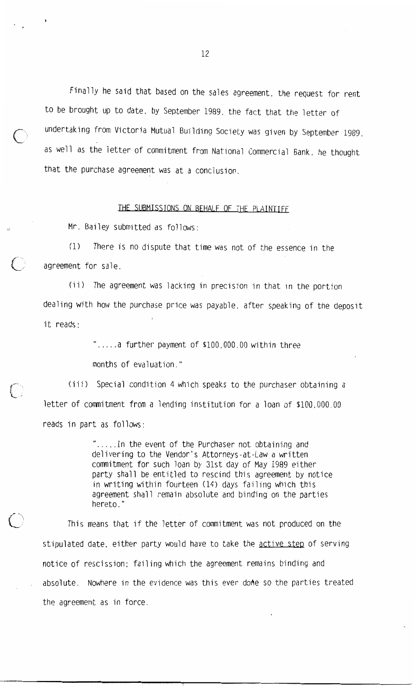Finally he said that based on the sales agreement, the request for rent to be brought up to date. by September 1989, the fact that the letter of undertaking from Victoria Mutual Building Society was given by September 1989. as well as the letter of commitment from National Commercial Bank, he thought that the purchase agreement was at a conclusion.

#### THE SUBMISSIONS ON BEHALF OF THE PLAINTIFF

Mr. Bailey submitted as follows:

There is no dispute that time was not of the essence in the  $(1)$ agreement for sale.

(ii) The agreement was lacking in precision in that in the portion dealing with how the purchase price was payable, after speaking of the deposit it reads:

> ".....a further payment of \$100,000.00 within three months of evaluation."

(iii) Special condition 4 which speaks to the purchaser obtaining a letter of commitment from a lending institution for a loan of \$100,000.00 reads in part as follows:

> ".....In the event of the Purchaser not obtaining and delivering to the Vendor's Attorneys-at-Law a written commitment for such loan by 31st day of May 1989 either party shall be entitled to rescind this agreement by notice in writing within fourteen (14) days failing which this agreement shall remain absolute and binding on the parties hereto."

This means that if the letter of commitment was not produced on the stipulated date, either party would have to take the active step of serving notice of rescission; failing which the agreement remains binding and absolute. Nowhere in the evidence was this ever dome so the parties treated the agreement as in force.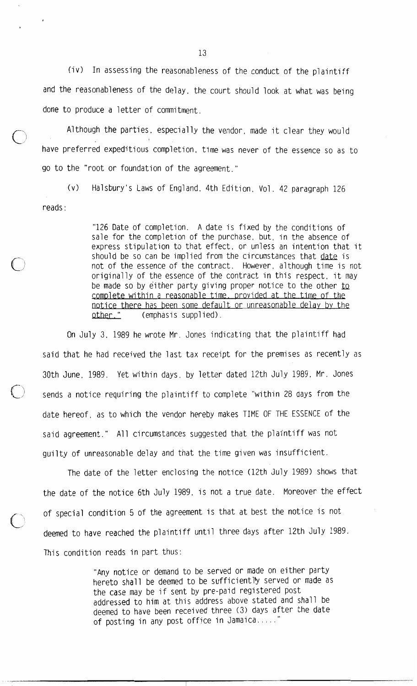(iv) In assessing the reasonableness of the conduct of the plaintiff and the reasonableness of the delay, the court should look at what was being done to produce a letter of commitment.

Although the parties, especially the vendor, made it clear they would have preferred expeditious completion, time was never of the essence so as to go to the "root or foundation of the agreement."

Halsbury's Laws of England, 4th Edition, Vol. 42 paragraph 126  $(v)$ reads:

> "126 Date of completion. A date is fixed by the conditions of sale for the completion of the purchase, but, in the absence of express stipulation to that effect, or unless an intention that it should be so can be implied from the circumstances that date is not of the essence of the contract. However, although time is not originally of the essence of the contract in this respect, it may be made so by either party giving proper notice to the other to complete within a reasonable time, provided at the time of the notice there has been some default or unreasonable delay by the other." (emphasis supplied).

On July 3, 1989 he wrote Mr. Jones indicating that the plaintiff had said that he had received the last tax receipt for the premises as recently as 30th June, 1989. Yet within days, by letter dated 12th July 1989, Mr. Jones sends a notice requiring the plaintiff to complete "within 28 days from the date hereof, as to which the vendor hereby makes TIME OF THE ESSENCE of the said agreement." All circumstances suggested that the plaintiff was not guilty of unreasonable delay and that the time given was insufficient.

The date of the letter enclosing the notice (12th July 1989) shows that the date of the notice 6th July 1989, is not a true date. Moreover the effect of special condition 5 of the agreement is that at best the notice is not deemed to have reached the plaintiff until three days after 12th July 1989. This condition reads in part thus:

> "Any notice or demand to be served or made on either party hereto shall be deemed to be sufficiently served or made as the case may be if sent by pre-paid registered post addressed to him at this address above stated and shall be deemed to have been received three (3) days after the date of posting in any post office in Jamaica.....'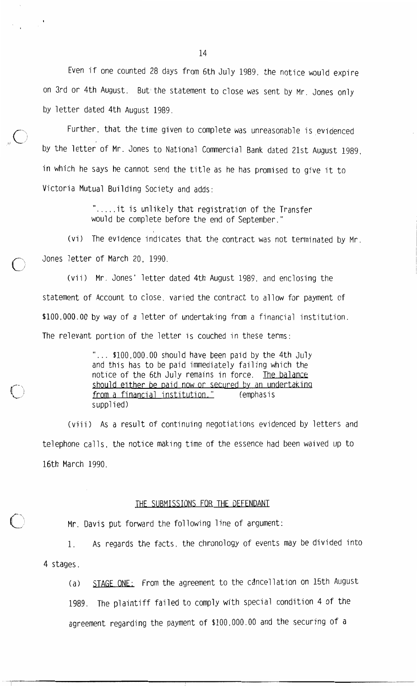Even if one counted 28 days from 6th July 1989, the notice would expire on 3rd or 4th August. But the statement to close was sent by Mr. Jones only by letter dated 4th August 1989.

Further, that the time given to complete was unreasonable is evidenced by the letter of Mr. Jones to National Commercial Bank dated 21st August 1989, in which he says he cannot send the title as he has promised to give it to Victoria Mutual Building Society and adds:

> ".....it is unlikely that registration of the Transfer would be complete before the end of September."

(vi) The evidence indicates that the contract was not terminated by Mr. Jones letter of March 20, 1990.

(vii) Mr. Jones' letter dated 4th August 1989, and enclosing the statement of Account to close, varied the contract to allow for payment of \$100,000.00 by way of a letter of undertaking from a financial institution. The relevant portion of the letter is couched in these terms:

> "... \$100,000.00 should have been paid by the 4th July and this has to be paid immediately failing which the notice of the 6th July remains in force. The balance should either be paid now or secured by an undertaking from a financial institution." (emphasis supplied)

(viii) As a result of continuing negotiations evidenced by letters and telephone calls, the notice making time of the essence had been waived up to 16th March 1990.

## THE SUBMISSIONS FOR THE DEFENDANT

Mr. Davis put forward the following line of argument:

As regards the facts, the chronology of events may be divided into 1. 4 stages.

STAGE ONE: From the agreement to the cancellation on 15th August  $(a)$ 

1989. The plaintiff failed to comply with special condition 4 of the agreement regarding the payment of \$100,000.00 and the securing of a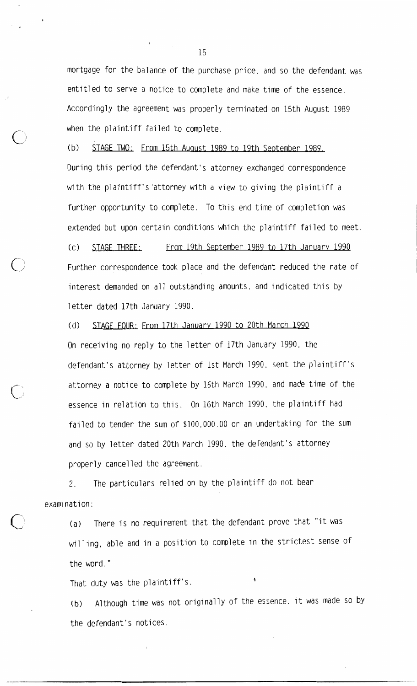mortgage for the balance of the purchase price, and so the defendant was entitled to serve a notice to complete and make time of the essence. Accordingly the agreement was properly terminated on 15th August 1989 when the plaintiff failed to complete.

STAGE TWO: From 15th August 1989 to 19th September 1989.  $(b)$ During this period the defendant's attorney exchanged correspondence with the plaintiff's attorney with a view to giving the plaintiff a further opportunity to complete. To this end time of completion was extended but upon certain conditions which the plaintiff failed to meet.

 $(c)$ STAGE THREE: From 19th September 1989 to 17th January 1990 Further correspondence took place and the defendant reduced the rate of interest demanded on all outstanding amounts, and indicated this by letter dated 17th January 1990.

STAGE FOUR: From 17th January 1990 to 20th March 1990  $(h)$ On receiving no reply to the letter of 17th January 1990, the defendant's attorney by letter of 1st March 1990, sent the plaintiff's attorney a notice to complete by 16th March 1990, and made time of the essence in relation to this. On 16th March 1990, the plaintiff had failed to tender the sum of \$100,000.00 or an undertaking for the sum and so by letter dated 20th March 1990, the defendant's attorney properly cancelled the agreement.

The particulars relied on by the plaintiff do not bear 2. examination:

There is no requirement that the defendant prove that "it was  $(a)$ willing, able and in a position to complete in the strictest sense of the word."

That duty was the plaintiff's.

Although time was not originally of the essence, it was made so by  $(b)$ the defendant's notices.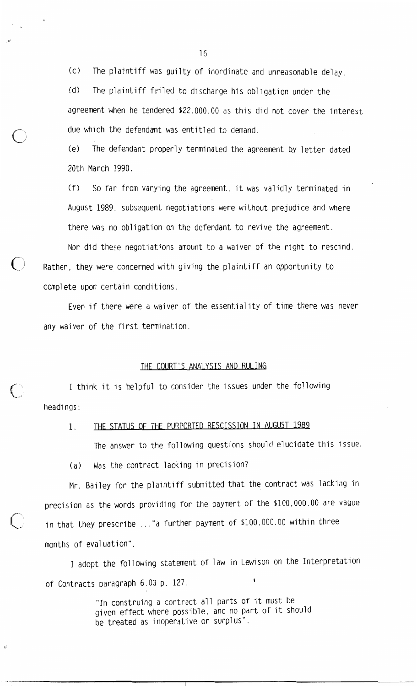The plaintiff was guilty of inordinate and unreasonable delay.  $(c)$ 

 $(d)$ The plaintiff failed to discharge his obligation under the agreement when he tendered \$22,000.00 as this did not cover the interest due which the defendant was entitled to demand.

 $(e)$ The defendant properly terminated the agreement by letter dated 20th March 1990.

 $(f)$ So far from varying the agreement, it was validly terminated in August 1989, subsequent negotiations were without prejudice and where there was no obligation on the defendant to revive the agreement.

Nor did these negotiations amount to a waiver of the right to rescind. Rather, they were concerned with giving the plaintiff an opportunity to complete upon certain conditions.

Even if there were a waiver of the essentiality of time there was never any waiver of the first termination.

# THE COURT'S ANALYSIS AND RULING

I think it is helpful to consider the issues under the following headings:

#### THE STATUS OF THE PURPORTED RESCISSION IN AUGUST 1989  $1<sup>1</sup>$

The answer to the following questions should elucidate this issue.

Was the contract lacking in precision?  $(a)$ 

Mr. Bailey for the plaintiff submitted that the contract was lacking in precision as the words providing for the payment of the \$100,000.00 are vague in that they prescribe ..."a further payment of \$100,000.00 within three months of evaluation".

I adopt the following statement of law in Lewison on the Interpretation of Contracts paragraph 6.03 p. 127.

> "In construing a contract all parts of it must be given effect where possible, and no part of it should be treated as inoperative or surplus".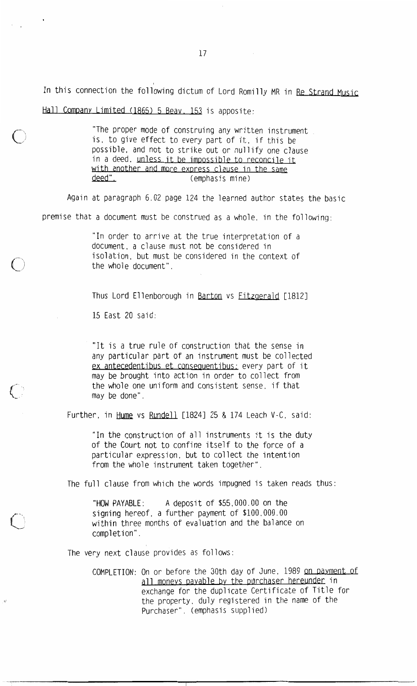In this connection the following dictum of Lord Romilly MR in Re Strand Music

Hall Company Limited (1865) 5 Beav. 153 is apposite:

"The proper mode of construing any written instrument is, to give effect to every part of it, if this be possible, and not to strike out or nullify one clause in a deed. unless it be impossible to reconcile it with another and more express clause in the same deed". (emphasis mine)

Again at paragraph 6.02 page 124 the learned author states the basic premise that a document must be construed as a whole, in the following:

> "In order to arrive at the true interpretation of a document, a clause must not be considered in isolation. but must be considered in the context of the whole document".

Thus Lord Ellenborough in Barton vs Fitzgerald [1812]

15 East 20 said:

"It is a true rule of construction that the sense in any particular part of an instrument must be collected ex antecedentibus et consequentibus: every part of it may be brought into action in order to collect from the whole one uniform and consistent sense, if that may be done".

Further, in Hume vs Rundell [1824] 25 & 174 Leach V-C, said:

"In the construction of all instruments it is the duty of the Court not to confine itself to the force of a particular expression, but to collect the intention from the whole instrument taken together".

The full clause from which the words impugned is taken reads thus:

A deposit of \$55,000.00 on the "HOW PAYABLE: signing hereof, a further payment of \$100,000.00 within three months of evaluation and the balance on completion".

The very next clause provides as follows:

COMPLETION: On or before the 30th day of June, 1989 on payment of all moneys payable by the purchaser hereunder in exchange for the duplicate Certificate of Title for the property, duly registered in the name of the Purchaser". (emphasis supplied)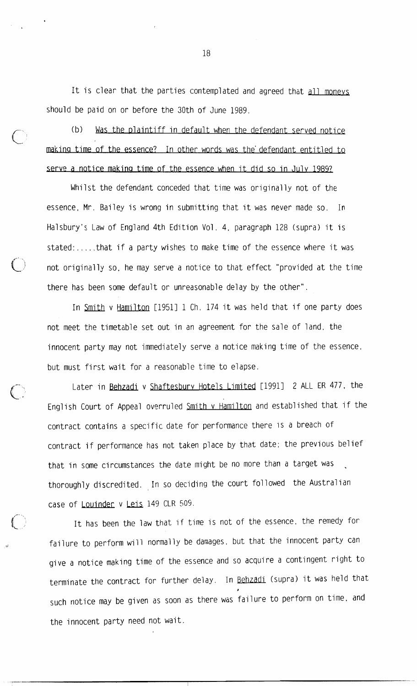It is clear that the parties contemplated and agreed that all moneys should be paid on or before the 30th of June 1989.

Was the plaintiff in default when the defendant served notice  $(b)$ making time of the essence? In other words was the defendant entitled to serve a notice making time of the essence when it did so in July 1989?

Whilst the defendant conceded that time was originally not of the essence, Mr. Bailey is wrong in submitting that it was never made so. In Halsbury's Law of England 4th Edition Vol. 4, paragraph 128 (supra) it is stated:.....that if a party wishes to make time of the essence where it was not originally so, he may serve a notice to that effect "provided at the time there has been some default or unreasonable delay by the other".

In Smith v Hamilton [1951] 1 Ch. 174 it was held that if one party does not meet the timetable set out in an agreement for the sale of land, the innocent party may not immediately serve a notice making time of the essence. but must first wait for a reasonable time to elapse.

Later in Behzadi v Shaftesbury Hotels Limited [1991] 2 ALL ER 477, the English Court of Appeal overruled Smith v Hamilton and established that if the contract contains a specific date for performance there is a breach of contract if performance has not taken place by that date; the previous belief that in some circumstances the date might be no more than a target was thoroughly discredited. In so deciding the court followed the Australian case of Louinder v Leis 149 CLR 509.

It has been the law that if time is not of the essence, the remedy for failure to perform will normally be damages, but that the innocent party can give a notice making time of the essence and so acquire a contingent right to terminate the contract for further delay. In Behzadi (supra) it was held that such notice may be given as soon as there was failure to perform on time, and the innocent party need not wait.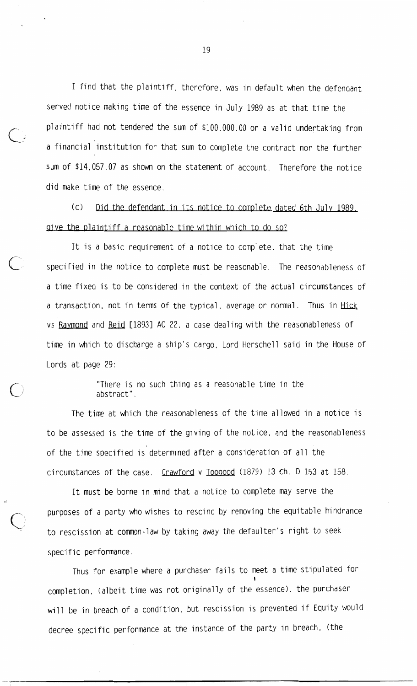I find that the plaintiff, therefore, was in default when the defendant served notice making time of the essence in July 1989 as at that time the plaintiff had not tendered the sum of \$100,000.00 or a valid undertaking from a financial institution for that sum to complete the contract nor the further sum of \$14,057.07 as shown on the statement of account. Therefore the notice did make time of the essence.

 $(c)$ Did the defendant in its notice to complete dated 6th July 1989. give the plaintiff a reasonable time within which to do so?

It is a basic requirement of a notice to complete, that the time specified in the notice to complete must be reasonable. The reasonableness of a time fixed is to be considered in the context of the actual circumstances of a transaction, not in terms of the typical, average or normal. Thus in Hick vs Raymond and Reid [1893] AC 22, a case dealing with the reasonableness of time in which to discharge a ship's cargo, Lord Herschell said in the House of Lords at page 29:

> "There is no such thing as a reasonable time in the abstract".

The time at which the reasonableness of the time allowed in a notice is to be assessed is the time of the giving of the notice, and the reasonableness of the time specified is determined after a consideration of all the circumstances of the case. Crawford v Toogood (1879) 13 Ch. D 153 at 158.

It must be borne in mind that a notice to complete may serve the purposes of a party who wishes to rescind by removing the equitable hindrance to rescission at common-law by taking away the defaulter's right to seek specific performance.

Thus for example where a purchaser fails to meet a time stipulated for completion, (albeit time was not originally of the essence), the purchaser will be in breach of a condition, but rescission is prevented if Equity would decree specific performance at the instance of the party in breach, (the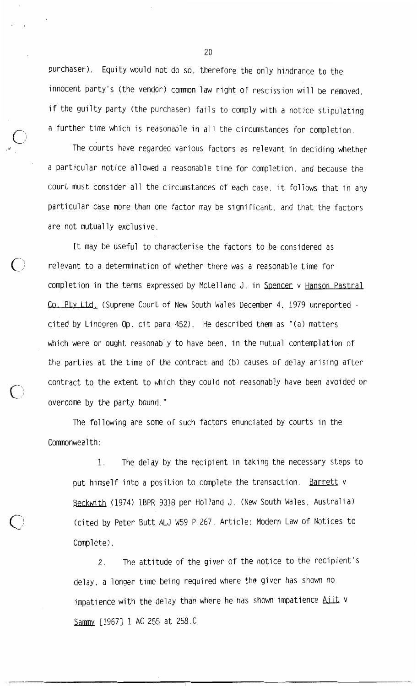purchaser). Equity would not do so, therefore the only hindrance to the innocent party's (the vendor) common law right of rescission will be removed. if the guilty party (the purchaser) fails to comply with a notice stipulating a further time which is reasonable in all the circumstances for completion.

The courts have regarded various factors as relevant in deciding whether a particular notice allowed a reasonable time for completion, and because the court must consider all the circumstances of each case, it follows that in any particular case more than one factor may be significant, and that the factors are not mutually exclusive.

It may be useful to characterise the factors to be considered as relevant to a determination of whether there was a reasonable time for completion in the terms expressed by McLelland J. in Spencer v Hanson Pastral Co. Pty Ltd. (Supreme Court of New South Wales December 4, 1979 unreported cited by Lindgren Op. cit para 452). He described them as "(a) matters which were or ought reasonably to have been, in the mutual contemplation of the parties at the time of the contract and (b) causes of delay arising after contract to the extent to which they could not reasonably have been avoided or overcome by the party bound."

The following are some of such factors enunciated by courts in the Commonwealth:

 $1$ . The delay by the recipient in taking the necessary steps to put himself into a position to complete the transaction. Barrett v Beckwith (1974) 1BPR 9318 per Holland J. (New South Wales, Australia) (cited by Peter Butt ALJ W59 P.267, Article: Modern Law of Notices to Complete).

The attitude of the giver of the notice to the recipient's  $2<sup>2</sup>$ delay, a longer time being required where the giver has shown no impatience with the delay than where he has shown impatience Aiit v Sammy [1967] 1 AC 255 at 258.C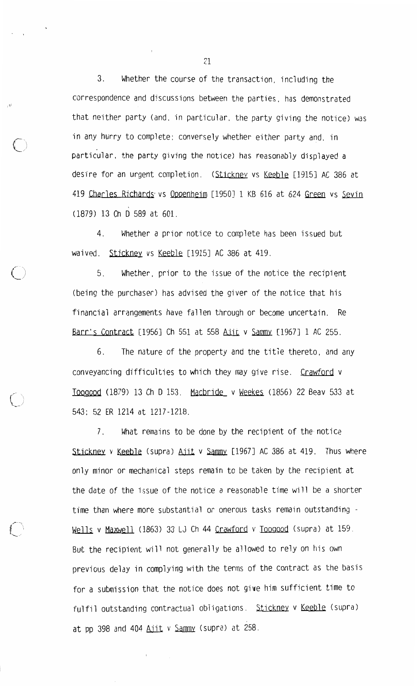Whether the course of the transaction, including the 3. correspondence and discussions between the parties, has demonstrated that neither party (and, in particular, the party giving the notice) was in any hurry to complete; conversely whether either party and, in particular, the party giving the notice) has reasonably displayed a desire for an urgent completion. (Stickney vs Keeble [1915] AC 386 at 419 Charles Richards vs Oppenheim [1950] 1 KB 616 at 624 Green vs Sevin (1879) 13 Ch D 589 at 601.

 $4_{\cdot}$ Whether a prior notice to complete has been issued but waived. Stickney vs Keeble [1915] AC 386 at 419.

Whether, prior to the issue of the notice the recipient  $5<sub>1</sub>$ (being the purchaser) has advised the giver of the notice that his financial arrangements have fallen through or become uncertain. Re Barr's Contract [1956] Ch 551 at 558 Ajit v Sammy [1967] 1 AC 255.

6. The nature of the property and the title thereto, and any conveyancing difficulties to which they may give rise. Crawford v Toogood (1879) 13 Ch D 153. Macbride v Weekes (1856) 22 Beav 533 at 543: 52 ER 1214 at 1217-1218.

 $7<sub>1</sub>$ What remains to be done by the recipient of the notice Stickney v Keeble (supra) Aiit v Sammy [1967] AC 386 at 419. Thus where only minor or mechanical steps remain to be taken by the recipient at the date of the issue of the notice a reasonable time will be a shorter time than where more substantial or onerous tasks remain outstanding -Wells v Maxwell (1863) 33 LJ Ch 44 Crawford v Toogood (supra) at 159. But the recipient will not generally be allowed to rely on his own previous delay in complying with the terms of the contract as the basis for a submission that the notice does not give him sufficient time to fulfil outstanding contractual obligations. Stickney v Keeble (supra) at pp 398 and 404 Ajit v Sammy (supra) at 258.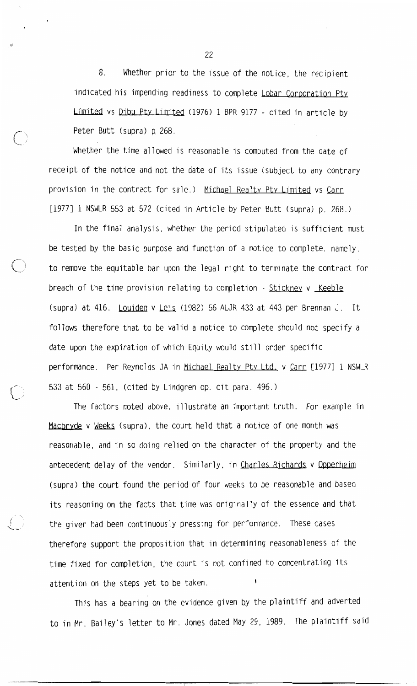8. Whether prior to the issue of the notice, the recipient indicated his impending readiness to complete Lobar Corporation Pty Limited vs Dibu Pty Limited (1976) 1 BPR 9177 - cited in article by Peter Butt (supra) p. 268.

Whether the time allowed is reasonable is computed from the date of receipt of the notice and not the date of its issue (subject to any contrary provision in the contract for sale.) Michael Realty Pty Limited vs Carr [1977] 1 NSWLR 553 at 572 (cited in Article by Peter Butt (supra) p. 268.)

In the final analysis, whether the period stipulated is sufficient must be tested by the basic purpose and function of a notice to complete, namely, to remove the equitable bar upon the legal right to terminate the contract for breach of the time provision relating to completion - Stickney v Keeble (supra) at 416. Louiden v Leis (1982) 56 ALJR 433 at 443 per Brennan J. It follows therefore that to be valid a notice to complete should not specify a date upon the expiration of which Equity would still order specific performance. Per Reynolds JA in Michael Realty Pty Ltd. v Carr [1977] 1 NSWLR 533 at 560 - 561. (cited by Lindgren op. cit para. 496.)

The factors noted above, illustrate an important truth. For example in Macbryde v Weeks (supra), the court held that a notice of one month was reasonable, and in so doing relied on the character of the property and the antecedent delay of the vendor. Similarly, in Charles Richards v Opperheim (supra) the court found the period of four weeks to be reasonable and based its reasoning on the facts that time was originally of the essence and that the giver had been continuously pressing for performance. These cases therefore support the proposition that in determining reasonableness of the time fixed for completion, the court is not confined to concentrating its attention on the steps yet to be taken.

This has a bearing on the evidence given by the plaintiff and adverted to in Mr. Bailey's letter to Mr. Jones dated May 29, 1989. The plaintiff said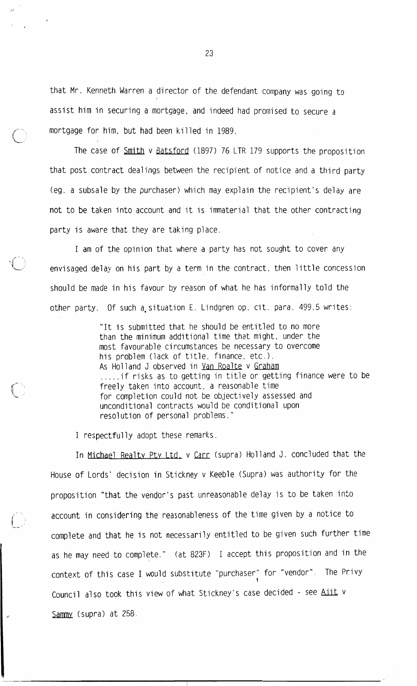that Mr. Kenneth Warren a director of the defendant company was going to assist him in securing a mortgage, and indeed had promised to secure a mortgage for him, but had been killed in 1989.

The case of Smith v Batsford (1897) 76 LTR 179 supports the proposition that post contract dealings between the recipient of notice and a third party (eg. a subsale by the purchaser) which may explain the recipient's delay are not to be taken into account and it is immaterial that the other contracting party is aware that they are taking place.

I am of the opinion that where a party has not sought to cover any envisaged delay on his part by a term in the contract, then little concession should be made in his favour by reason of what he has informally told the other party. Of such a situation E. Lindgren op. cit. para. 499.5 writes:

> "It is submitted that he should be entitled to no more than the minimum additional time that might, under the most favourable circumstances be necessary to overcome his problem (lack of title, finance, etc.). As Holland J observed in Van Roalte v Graham .....if risks as to getting in title or getting finance were to be freely taken into account, a reasonable time for completion could not be objectively assessed and unconditional contracts would be conditional upon resolution of personal problems."

I respectfully adopt these remarks.

In Michael Realty Pty Ltd. v Carr (supra) Holland J. concluded that the House of Lords' decision in Stickney v Keeble (Supra) was authority for the proposition "that the vendor's past unreasonable delay is to be taken into account in considering the reasonableness of the time given by a notice to complete and that he is not necessarily entitled to be given such further time as he may need to complete." (at 823F) I accept this proposition and in the context of this case I would substitute "purchaser" for "vendor". The Privy Council also took this view of what Stickney's case decided - see Aiit v Sammy (supra) at 258.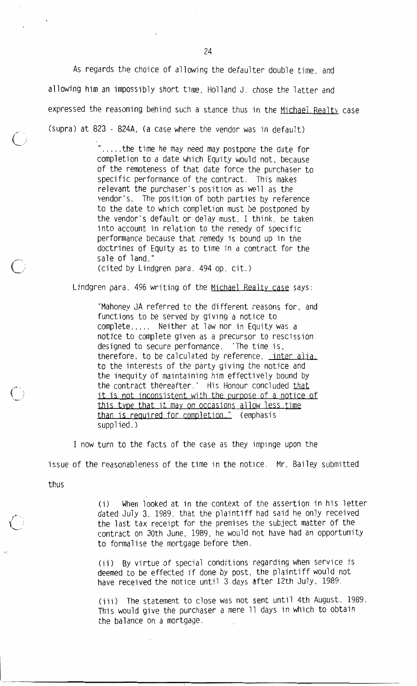As regards the choice of allowing the defaulter double time, and allowing him an impossibly short time, Holland J. chose the latter and expressed the reasoning behind such a stance thus in the Michael Realty case (supra) at 823 - 824A, (a case where the vendor was in default)

> ".....the time he may need may postpone the date for completion to a date which Equity would not, because of the remoteness of that date force the purchaser to specific performance of the contract. This makes relevant the purchaser's position as well as the vendor's. The position of both parties by reference to the date to which completion must be postponed by the vendor's default or delay must. I think, be taken into account in relation to the remedy of specific performance because that remedy is bound up in the doctrines of Equity as to time in a contract for the sale of land."

(cited by Lindgren para. 494 op. cit.)

Lindgren para. 496 writing of the Michael Realty case says:

"Mahoney JA referred to the different reasons for, and functions to be served by giving a notice to complete..... Neither at law nor in Equity was a notice to complete given as a precursor to rescission designed to secure performance. 'The time is, therefore, to be calculated by reference, inter alia. to the interests of the party giving the notice and the inequity of maintaining him effectively bound by the contract thereafter.' His Honour concluded that it is not inconsistent with the purpose of a notice of this type that it may on occasions allow less time than is required for completion." (emphasis supplied.)

I now turn to the facts of the case as they impinge upon the issue of the reasonableness of the time in the notice. Mr. Bailey submitted

thus

When looked at in the context of the assertion in his letter  $(i)$ dated July 3. 1989, that the plaintiff had said he only received the last tax receipt for the premises the subject matter of the contract on 30th June, 1989, he would not have had an opportunity to formalise the mortgage before then.

(ii) By virtue of special conditions regarding when service is deemed to be effected if done by post. the plaintiff would not have received the notice until 3 days after 12th July. 1989.

(iii) The statement to close was not sent until 4th August, 1989. This would give the purchaser a mere 11 days in which to obtain the balance on a mortgage.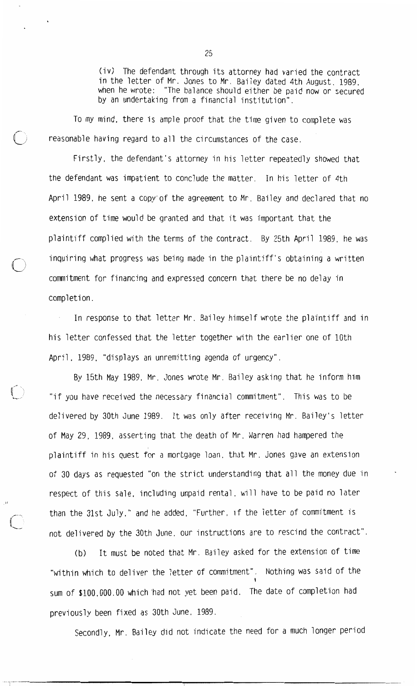(iv) The defendant through its attorney had varied the contract in the letter of Mr. Jones to Mr. Bailey dated 4th August, 1989, when he wrote: "The balance should either be paid now or secured by an undertaking from a financial institution".

To my mind, there is ample proof that the time given to complete was reasonable having regard to all the circumstances of the case.

Firstly, the defendant's attorney in his letter repeatedly showed that the defendant was impatient to conclude the matter. In his letter of 4th April 1989, he sent a copy'of the agreement to Mr. Bailey and declared that no extension of time would be granted and that it was important that the plaintiff complied with the terms of the contract. By 25th April 1989, he was inguiring what progress was being made in the plaintiff's obtaining a written commitment for financing and expressed concern that there be no delay in completion.

In response to that letter Mr. Bailey himself wrote the plaintiff and in his letter confessed that the letter together with the earlier one of 10th April, 1989, "displays an unremitting agenda of urgency".

By 15th May 1989, Mr. Jones wrote Mr. Bailey asking that he inform him "if you have received the necessary financial commitment". This was to be delivered by 30th June 1989. It was only after receiving Mr. Bailey's letter of May 29, 1989, asserting that the death of Mr. Warren had hampered the plaintiff in his quest for a mortgage loan, that Mr. Jones gave an extension of 30 days as requested "on the strict understanding that all the money due in respect of this sale, including unpaid rental, will have to be paid no later than the 31st July," and he added, "Further, if the letter of commitment is not delivered by the 30th June, our instructions are to rescind the contract".

It must be noted that Mr. Bailey asked for the extension of time  $(b)$ "within which to deliver the letter of commitment". Nothing was said of the sum of \$100,000.00 which had not yet been paid. The date of completion had previously been fixed as 30th June, 1989.

Secondly, Mr. Bailey did not indicate the need for a much longer period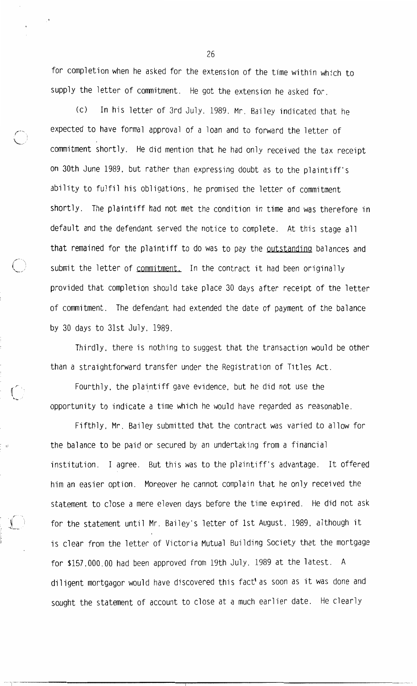for completion when he asked for the extension of the time within which to supply the letter of commitment. He got the extension he asked for.

In his letter of 3rd July, 1989, Mr. Bailey indicated that he  $(C)$ expected to have formal approval of a loan and to forward the letter of commitment shortly. He did mention that he had only received the tax receipt on 30th June 1989, but rather than expressing doubt as to the plaintiff's ability to fulfil his obligations, he promised the letter of commitment shortly. The plaintiff had not met the condition in time and was therefore in default and the defendant served the notice to complete. At this stage all that remained for the plaintiff to do was to pay the outstanding balances and submit the letter of commitment. In the contract it had been originally provided that completion should take place 30 days after receipt of the letter of commitment. The defendant had extended the date of payment of the balance by 30 days to 31st July, 1989.

Thirdly, there is nothing to suggest that the transaction would be other than a straightforward transfer under the Registration of Titles Act.

Fourthly, the plaintiff gave evidence, but he did not use the opportunity to indicate a time which he would have regarded as reasonable.

Fifthly, Mr. Bailey submitted that the contract was varied to allow for the balance to be paid or secured by an undertaking from a financial institution. I agree. But this was to the plaintiff's advantage. It offered him an easier option. Moreover he cannot complain that he only received the statement to close a mere eleven days before the time expired. He did not ask for the statement until Mr. Bailey's letter of 1st August, 1989, although it is clear from the letter of Victoria Mutual Building Society that the mortgage for \$157,000,00 had been approved from 19th July, 1989 at the latest. A diligent mortgagor would have discovered this fact' as soon as it was done and sought the statement of account to close at a much earlier date. He clearly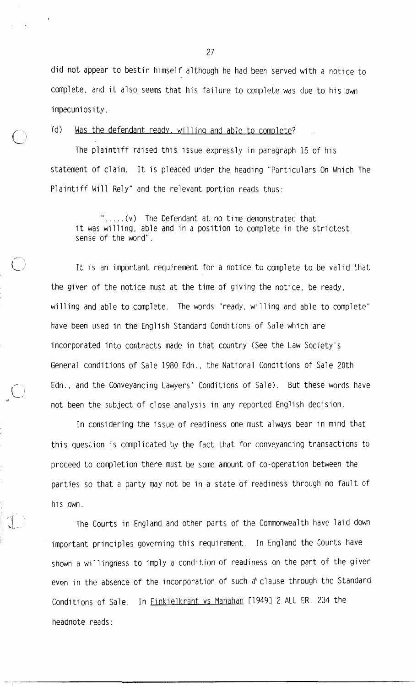did not appear to bestir himself although he had been served with a notice to complete, and it also seems that his failure to complete was due to his own impecuniosity.

Was the defendant ready, willing and able to complete?  $(d)$ 

The plaintiff raised this issue expressly in paragraph 15 of his statement of claim. It is pleaded under the heading "Particulars On Which The Plaintiff Will Rely" and the relevant portion reads thus:

".....(v) The Defendant at no time demonstrated that it was willing, able and in a position to complete in the strictest sense of the word".

It is an important requirement for a notice to complete to be valid that the giver of the notice must at the time of giving the notice, be ready, willing and able to complete. The words "ready, willing and able to complete" have been used in the English Standard Conditions of Sale which are incorporated into contracts made in that country (See the Law Society's General conditions of Sale 1980 Edn., the National Conditions of Sale 20th Edn., and the Conveyancing Lawyers' Conditions of Sale). But these words have not been the subject of close analysis in any reported English decision.

In considering the issue of readiness one must always bear in mind that this question is complicated by the fact that for conveyancing transactions to proceed to completion there must be some amount of co-operation between the parties so that a party may not be in a state of readiness through no fault of his own.

The Courts in England and other parts of the Commonwealth have laid down important principles governing this requirement. In England the Courts have shown a willingness to imply a condition of readiness on the part of the giver even in the absence of the incorporation of such a' clause through the Standard Conditions of Sale. In **Finkielkrant vs Manahan** [1949] 2 ALL ER. 234 the headnote reads: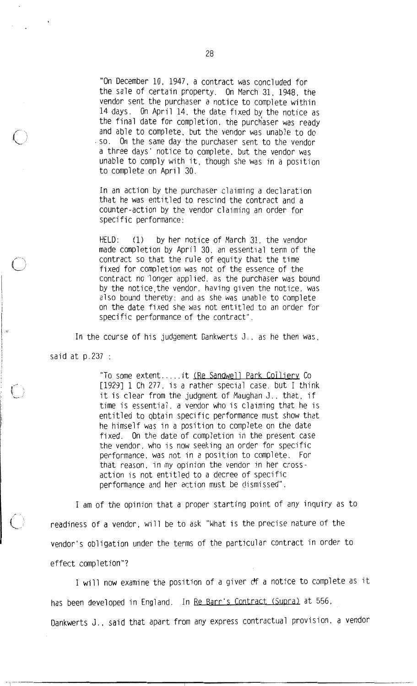"On December 10, 1947, a contract was concluded for the sale of certain property. On March 31, 1948, the vendor sent the purchaser a notice to complete within 14 days. On April 14, the date fixed by the notice as the final date for completion, the purchaser was ready and able to complete, but the vendor was unable to do . so. On the same day the purchaser sent to the vendor a three days' notice to complete, but the vendor was unable to comply with it, though she was in a position to complete on April 30.

In an action by the purchaser claiming a declaration that he was entitled to rescind the contract and a counter-action by the vendor claiming an order for specific performance:

by her notice of March 31, the vendor HELD:  $(1)$ made completion by April 30, an essential term of the contract so that the rule of equity that the time fixed for completion was not of the essence of the contract no longer applied, as the purchaser was bound by the notice, the vendor, having given the notice, was also bound thereby; and as she was unable to complete on the date fixed she was not entitled to an order for specific performance of the contract".

In the course of his judgement Dankwerts J., as he then was,

said at  $p.237$  :

"To some extent.....it (Re Sandwell Park Colliery Co [1929] 1 Ch 277, is a rather special case, but I think it is clear from the judgment of Maughan J., that, if time is essential, a vendor who is claiming that he is entitled to obtain specific performance must show that he himself was in a position to complete on the date fixed. On the date of completion in the present case the vendor, who is now seeking an order for specific performance, was not in a position to complete. For that reason, in my opinion the vendor in her crossaction is not entitled to a decree of specific performance and her action must be dismissed".

I am of the opinion that a proper starting point of any inquiry as to readiness of a vendor, will be to ask "What is the precise nature of the vendor's obligation under the terms of the particular contract in order to effect completion"?

I will now examine the position of a giver of a notice to complete as it has been developed in England. In Re Barr's Contract (Supra) at 556. Dankwerts J., said that apart from any express contractual provision, a vendor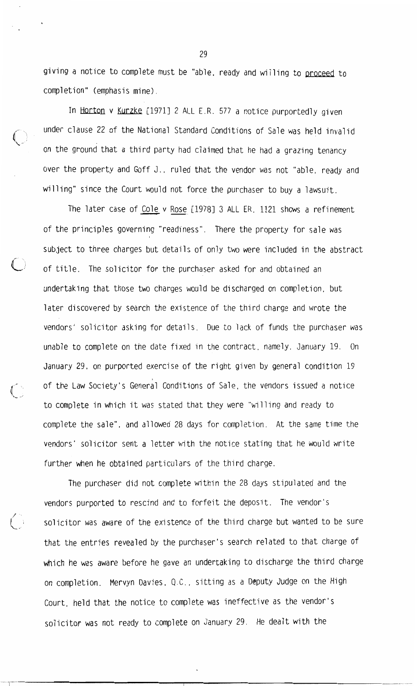giving a notice to complete must be "able, ready and willing to proceed to completion" (emphasis mine).

In Horton v Kurzke [1971] 2 ALL E.R. 577 a notice purportedly given under clause 22 of the National Standard Conditions of Sale was held invalid on the ground that a third party had claimed that he had a grazing tenancy over the property and Goff J., ruled that the vendor was not "able, ready and willing" since the Court would not force the purchaser to buy a lawsuit.

The later case of Cole v Rose [1978] 3 ALL ER. 1121 shows a refinement of the principles governing "readiness". There the property for sale was subject to three charges but details of only two were included in the abstract of title. The solicitor for the purchaser asked for and obtained an undertaking that those two charges would be discharged on completion, but later discovered by search the existence of the third charge and wrote the vendors' solicitor asking for details. Due to lack of funds the purchaser was unable to complete on the date fixed in the contract, namely, January 19. On January 29, on purported exercise of the right given by general condition 19 of the Law Society's General Conditions of Sale, the vendors issued a notice to complete in which it was stated that they were "willing and ready to complete the sale", and allowed 28 days for completion. At the same time the vendors' solicitor sent a letter with the notice stating that he would write further when he obtained particulars of the third charge.

The purchaser did not complete within the 28 days stipulated and the vendors purported to rescind and to forfeit the deposit. The vendor's solicitor was aware of the existence of the third charge but wanted to be sure that the entries revealed by the purchaser's search related to that charge of which he was aware before he gave an undertaking to discharge the third charge on completion. Mervyn Davies, Q.C., sitting as a Deputy Judge on the High Court, held that the notice to complete was ineffective as the vendor's solicitor was not ready to complete on January 29. He dealt with the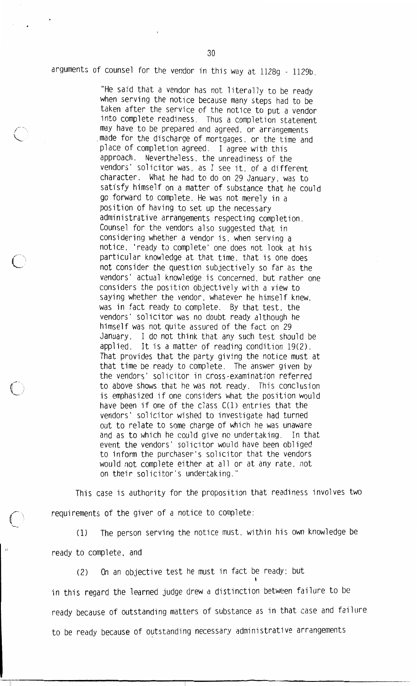arguments of counsel for the vendor in this way at 1128g - 1129b.

"He said that a vendor has not literally to be ready when serving the notice because many steps had to be taken after the service of the notice to put a vendor into complete readiness. Thus a completion statement may have to be prepared and agreed, or arrangements made for the discharge of mortgages, or the time and place of completion agreed. I agree with this approach. Nevertheless, the unreadiness of the vendors' solicitor was, as I see it, of a different character. What he had to do on 29 January, was to satisfy himself on a matter of substance that he could go forward to complete. He was not merely in a position of having to set up the necessary administrative arrangements respecting completion. Counsel for the vendors also suggested that in considering whether a vendor is, when serving a notice, 'ready to complete' one does not look at his particular knowledge at that time, that is one does not consider the question subjectively so far as the vendors' actual knowledge is concerned, but rather one considers the position objectively with a view to saying whether the vendor, whatever he himself knew. was in fact ready to complete. By that test, the vendors' solicitor was no doubt ready although he himself was not quite assured of the fact on 29 January. I do not think that any such test should be applied. It is a matter of reading condition 19(2). That provides that the party giving the notice must at that time be ready to complete. The answer given by the vendors' solicitor in cross-examination referred to above shows that he was not ready. This conclusion is emphasized if one considers what the position would have been if one of the class C(1) entries that the vendors' solicitor wished to investigate had turned out to relate to some charge of which he was unaware and as to which he could give no undertaking. In that event the vendors' solicitor would have been obliged to inform the purchaser's solicitor that the vendors would not complete either at all or at any rate, not on their solicitor's undertaking."

This case is authority for the proposition that readiness involves two requirements of the giver of a notice to complete:

The person serving the notice must, within his own knowledge be  $(1)$ ready to complete, and

 $(2)$ On an objective test he must in fact be ready; but in this regard the learned judge drew a distinction between failure to be ready because of outstanding matters of substance as in that case and failure to be ready because of outstanding necessary administrative arrangements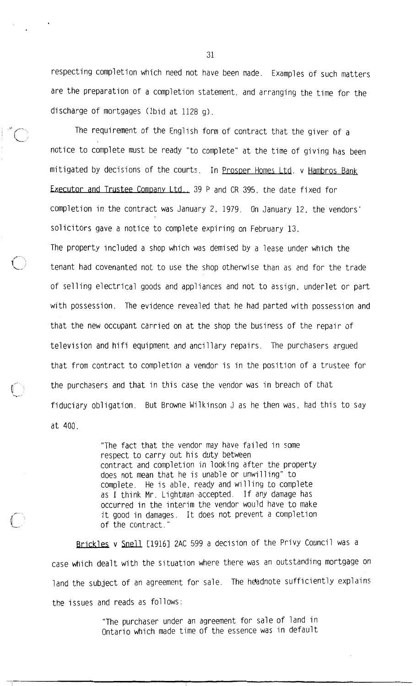respecting completion which need not have been made. Examples of such matters are the preparation of a completion statement, and arranging the time for the discharge of mortgages (1bid at 1128 q).

The requirement of the English form of contract that the giver of a notice to complete must be ready "to complete" at the time of giving has been mitigated by decisions of the courts. In Prosper Homes Ltd. v Hambros Bank Executor and Trustee Company Ltd., 39 P and CR 395, the date fixed for completion in the contract was January 2, 1979. On January 12, the vendors' solicitors gave a notice to complete expiring on February 13. The property included a shop which was demised by a lease under which the tenant had covenanted not to use the shop otherwise than as and for the trade of selling electrical goods and appliances and not to assign, underlet or part with possession. The evidence revealed that he had parted with possession and that the new occupant carried on at the shop the business of the repair of television and hifi equipment and ancillary repairs. The purchasers argued that from contract to completion a vendor is in the position of a trustee for the purchasers and that in this case the vendor was in breach of that fiduciary obligation. But Browne Wilkinson J as he then was, had this to say at 400.

> "The fact that the vendor may have failed in some respect to carry out his duty between contract and completion in looking after the property does not mean that he is unable or unwilling" to complete. He is able, ready and willing to complete as I think Mr. Lightman accepted. If any damage has occurred in the interim the vendor would have to make it good in damages. It does not prevent a completion of the contract."

Brickles v Snell [1916] 2AC 599 a decision of the Privy Council was a case which dealt with the situation where there was an outstanding mortgage on land the subject of an agreement for sale. The headnote sufficiently explains the issues and reads as follows:

> "The purchaser under an agreement for sale of land in Ontario which made time of the essence was in default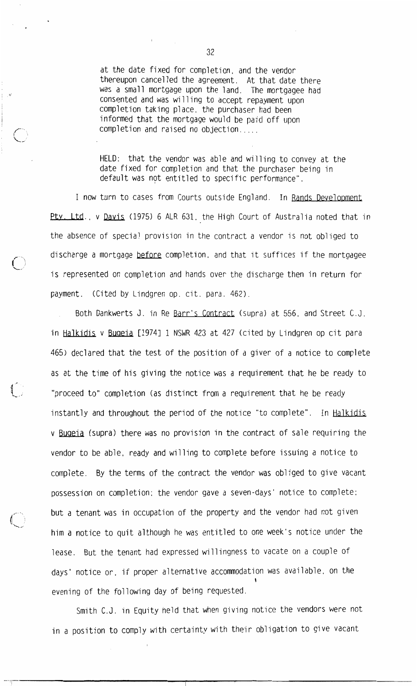at the date fixed for completion, and the vendor thereupon cancelled the agreement. At that date there was a small mortgage upon the land. The mortgagee had consented and was willing to accept repayment upon completion taking place, the purchaser had been informed that the mortgage would be paid off upon completion and raised no objection....

HELD: that the vendor was able and willing to convey at the date fixed for completion and that the purchaser being in default was not entitled to specific performance".

I now turn to cases from Courts outside England. In Rands Development Pty. Ltd., v Davis (1975) 6 ALR 631, the High Court of Australia noted that in the absence of special provision in the contract a vendor is not obliged to discharge a mortgage before completion, and that it suffices if the mortgagee is represented on completion and hands over the discharge then in return for payment. (Cited by Lindgren op. cit. para. 462).

Both Dankwerts J. in Re Barr's Contract (supra) at 556, and Street C.J. in Halkidis v Bugeia [1974] 1 NSWR 423 at 427 (cited by Lindgren op cit para 465) declared that the test of the position of a giver of a notice to complete as at the time of his giving the notice was a requirement that he be ready to "proceed to" completion (as distinct from a requirement that he be ready instantly and throughout the period of the notice "to complete". In Halkidis v Bugeia (supra) there was no provision in the contract of sale requiring the vendor to be able, ready and willing to complete before issuing a notice to complete. By the terms of the contract the vendor was obliged to give vacant possession on completion; the vendor gave a seven-days' notice to complete; but a tenant was in occupation of the property and the vendor had not given him a notice to quit although he was entitled to one week's notice under the lease. But the tenant had expressed willingness to vacate on a couple of days' notice or, if proper alternative accommodation was available, on the evening of the following day of being requested.

Smith C.J. in Equity held that when giving notice the vendors were not in a position to comply with certainty with their obligation to give vacant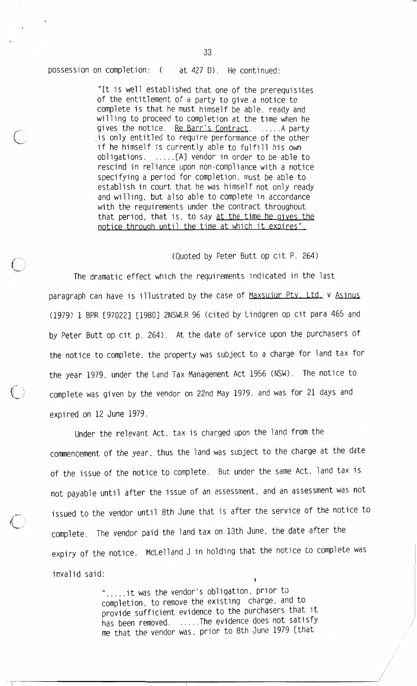possession on completion: ( at 427 D). He continued:

> "It is well established that one of the prerequisites of the entitlement of a party to give a notice to complete is that he must himself be able, ready and willing to proceed to completion at the time when he gives the notice. Re Barr's Contract. ..... A party is only entitled to require performance of the other if he himself is currently able to fulfill his own obligations. .....[A] vendor in order to be able to rescind in reliance upon non-compliance with a notice specifying a period for completion, must be able to establish in court that he was himself not only ready and willing, but also able to complete in accordance with the requirements under the contract throughout that period, that is, to say at the time he gives the notice through until the time at which it expires".

## (Quoted by Peter Butt op cit P. 264)

The dramatic effect which the requirements indicated in the last paragraph can have is illustrated by the case of Maxsujur Pty. Ltd. v Asinus (1979) 1 BPR [97022] [1980] 2NSWLR 96 (cited by Lindgren op cit para 465 and by Peter Butt op cit p. 264). At the date of service upon the purchasers of the notice to complete, the property was subject to a charge for land tax for the year 1979, under the Land Tax Management Act 1956 (NSW). The notice to complete was given by the vendor on 22nd May 1979, and was for 21 days and expired on 12 June 1979.

Under the relevant Act, tax is charged upon the land from the commencement of the year, thus the land was subject to the charge at the date of the issue of the notice to complete. But under the same Act. land tax is not payable until after the issue of an assessment, and an assessment was not issued to the vendor until 8th June that is after the service of the notice to complete. The vendor paid the land tax on 13th June, the date after the expiry of the notice. McLelland J in holding that the notice to complete was invalid said:

> ".....it was the vendor's obligation, prior to completion, to remove the existing charge, and to provide sufficient evidence to the purchasers that it has been removed. .....The evidence does not satisfy me that the vendor was. prior to 8th June 1979 [that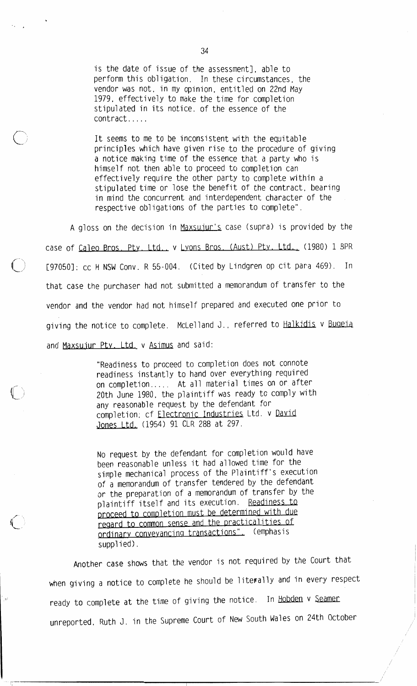is the date of issue of the assessment], able to perform this obligation. In these circumstances, the vendor was not, in my opinion, entitled on 22nd May 1979, effectively to make the time for completion stipulated in its notice, of the essence of the contract.....

It seems to me to be inconsistent with the equitable principles which have given rise to the procedure of giving a notice making time of the essence that a party who is himself not then able to proceed to completion can effectively require the other party to complete within a stipulated time or lose the benefit of the contract, bearing in mind the concurrent and interdependent character of the respective obligations of the parties to complete".

A gloss on the decision in Maxsujur's case (supra) is provided by the case of Caleo Bros. Pty. Ltd., v Lyons Bros. (Aust) Pty. Ltd., (1980) 1 BPR [970501: CC H NSW Conv. R 55-004. (Cited by Lindgren op cit para 469). In that case the purchaser had not submitted a memorandum of transfer to the vendor and the vendor had not himself prepared and executed one prior to giving the notice to complete. McLelland J., referred to Halkidis v Bugeia and Maxsujur Pty. Ltd. v Asimus and said:

> "Readiness to proceed to completion does not connote readiness instantly to hand over everything required on completion..... At all material times on or after 20th June 1980, the plaintiff was ready to comply with any reasonable request by the defendant for completion; cf Electronic Industries Ltd. v David Jones Ltd. (1954) 91 CLR 288 at 297.

> No request by the defendant for completion would have been reasonable unless it had allowed time for the simple mechanical process of the Plaintiff's execution of a memorandum of transfer tendered by the defendant or the preparation of a memorandum of transfer by the plaintiff itself and its execution. Readiness to proceed to completion must be determined with due regard to common sense and the practicalities of ordinary conveyancing transactions". (emphasis supplied).

Another case shows that the vendor is not required by the Court that when giving a notice to complete he should be literally and in every respect ready to complete at the time of giving the notice. In Hobden v Seamer unreported, Ruth J. in the Supreme Court of New South Wales on 24th October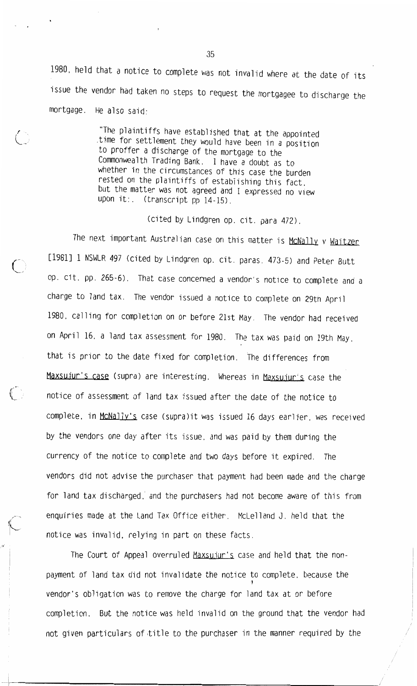1980, held that a notice to complete was not invalid where at the date of its issue the vendor had taken no steps to request the mortgagee to discharge the mortgage. He also said:

> "The plaintiffs have established that at the appointed time for settlement they would have been in a position to proffer a discharge of the mortgage to the Commonwealth Trading Bank. I have a doubt as to whether in the circumstances of this case the burden rested on the plaintiffs of establishing this fact. but the matter was not agreed and I expressed no view upon it:. (transcript pp 14-15).

> > (cited by Lindgren op. cit. para 472).

The next important Australian case on this matter is McNally v Waitzer [1981] 1 NSWLR 497 (cited by Lindgren op. cit. paras. 473-5) and Peter Butt op. cit. pp. 265-6). That case concerned a vendor's notice to complete and a charge to land tax. The vendor issued a notice to complete on 29th April 1980, calling for completion on or before 21st May. The vendor had received on April 16, a land tax assessment for 1980. The tax was paid on 19th May, that is prior to the date fixed for completion. The differences from Maxsujur's case (supra) are interesting. Whereas in Maxsujur's case the notice of assessment of land tax issued after the date of the notice to complete, in McNally's case (supra)it was issued 16 days earlier, was received by the vendors one day after its issue, and was paid by them during the currency of the notice to complete and two days before it expired. The vendors did not advise the purchaser that payment had been made and the charge for land tax discharged, and the purchasers had not become aware of this from enquiries made at the Land Tax Office either. McLelland J. held that the notice was invalid, relying in part on these facts.

The Court of Appeal overruled Maxsujur's case and held that the nonpayment of land tax did not invalidate the notice to complete, because the vendor's obligation was to remove the charge for land tax at or before completion. But the notice was held invalid on the ground that the vendor had not given particulars of title to the purchaser in the manner required by the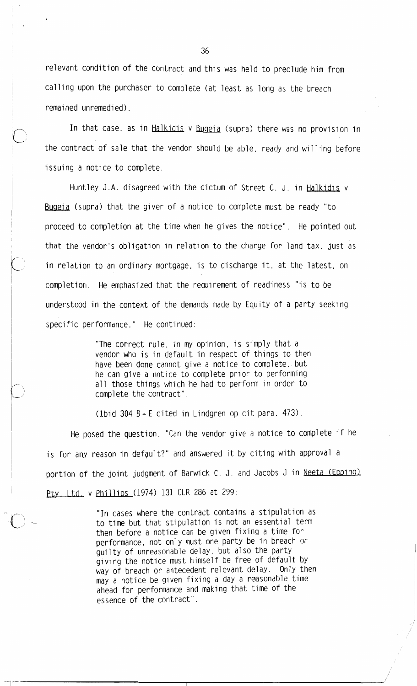relevant condition of the contract and this was held to preclude him from calling upon the purchaser to complete (at least as long as the breach remained unremedied).

In that case, as in Halkidis v Bugeia (supra) there was no provision in the contract of sale that the vendor should be able, ready and willing before issuing a notice to complete.

Huntley J.A. disagreed with the dictum of Street C. J. in Halkidis v Bugeia (supra) that the giver of a notice to complete must be ready "to proceed to completion at the time when he gives the notice". He pointed out that the vendor's obligation in relation to the charge for land tax, just as in relation to an ordinary mortgage, is to discharge it, at the latest, on completion. He emphasized that the requirement of readiness "is to be understood in the context of the demands made by Equity of a party seeking specific performance." He continued:

> "The correct rule, in my opinion, is simply that a vendor who is in default in respect of things to then have been done cannot give a notice to complete, but he can give a notice to complete prior to performing all those things which he had to perform in order to complete the contract".

(1bid 304 B  $-$  E cited in Lindgren op cit para. 473).

He posed the question. "Can the vendor give a notice to complete if he is for any reason in default?" and answered it by citing with approval a portion of the joint judgment of Barwick C. J. and Jacobs J in Neeta (Epping) Pty. Ltd. v Phillips (1974) 131 CLR 286 at 299:

> "In cases where the contract contains a stipulation as to time but that stipulation is not an essential term then before a notice can be given fixing a time for performance, not only must one party be in breach or guilty of unreasonable delay, but also the party giving the notice must himself be free of default by way of breach or antecedent relevant delay. Only then may a notice be given fixing a day a reasonable time ahead for performance and making that time of the essence of the contract".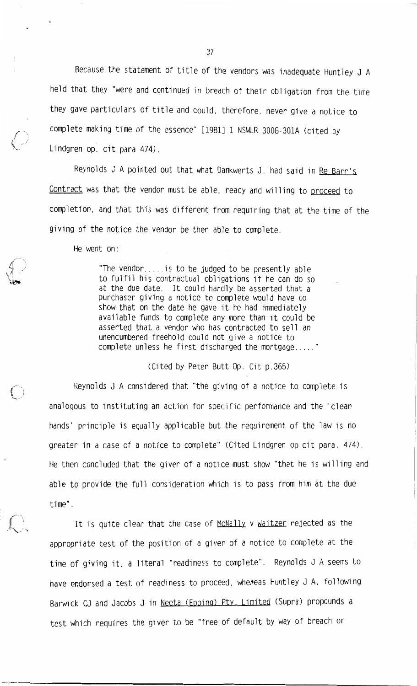Because the statement of title of the vendors was inadequate Huntley J A held that they "were and continued in breach of their obligation from the time they gave particulars of title and could, therefore, never give a notice to complete making time of the essence" [1981] 1 NSWLR 300G-301A (cited by Lindgren op. cit para 474).

Reynolds J A pointed out that what Dankwerts J. had said in Re Barr's Contract was that the vendor must be able, ready and willing to proceed to completion, and that this was different from requiring that at the time of the giving of the notice the vendor be then able to complete.

He went on:

"The vendor.....is to be judged to be presently able to fulfil his contractual obligations if he can do so at the due date. It could hardly be asserted that a purchaser giving a notice to complete would have to show that on the date he gave it he had immediately available funds to complete any more than it could be asserted that a vendor who has contracted to sell an unencumbered freehold could not give a notice to complete unless he first discharged the mortgage....."

(Cited by Peter Butt Op. Cit p.365)

Reynolds J A considered that "the giving of a notice to complete is analogous to instituting an action for specific performance and the 'clean hands' principle is equally applicable but the requirement of the law is no greater in a case of a notice to complete" (Cited Lindgren op cit para. 474). He then concluded that the giver of a notice must show "that he is willing and able to provide the full consideration which is to pass from him at the due time".

It is quite clear that the case of McNally v Waitzer rejected as the appropriate test of the position of a giver of a notice to complete at the time of giving it, a literal "readiness to complete". Reynolds J A seems to have endorsed a test of readiness to proceed, whereas Huntley J A, following Barwick CJ and Jacobs J in Neeta (Epping) Pty. Limited (Supra) propounds a test which requires the giver to be "free of default by way of breach or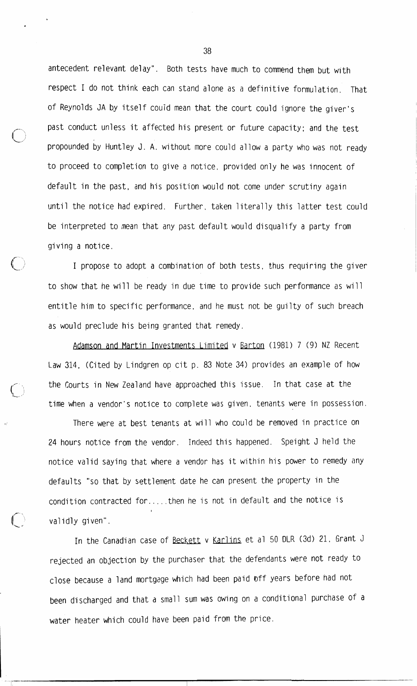antecedent relevant delay". Both tests have much to commend them but with respect I do not think each can stand alone as a definitive formulation. That of Reynolds JA by itself could mean that the court could ignore the giver's past conduct unless it affected his present or future capacity; and the test propounded by Huntley J. A. without more could allow a party who was not ready to proceed to completion to give a notice, provided only he was innocent of default in the past, and his position would not come under scrutiny again until the notice had expired. Further, taken literally this latter test could be interpreted to mean that any past default would disqualify a party from giving a notice.

I propose to adopt a combination of both tests, thus requiring the giver to show that he will be ready in due time to provide such performance as will entitle him to specific performance, and he must not be guilty of such breach as would preclude his being granted that remedy.

Adamson and Martin Investments Limited v Barton (1981) 7 (9) NZ Recent Law 314, (Cited by Lindgren op cit p. 83 Note 34) provides an example of how the Courts in New Zealand have approached this issue. In that case at the time when a vendor's notice to complete was given, tenants were in possession.

There were at best tenants at will who could be removed in practice on 24 hours notice from the vendor. Indeed this happened. Speight J held the notice valid saying that where a vendor has it within his power to remedy any defaults "so that by settlement date he can present the property in the condition contracted for.....then he is not in default and the notice is validly given".

In the Canadian case of Beckett v Karlins et al 50 DLR (3d) 21. Grant J rejected an objection by the purchaser that the defendants were not ready to close because a land mortgage which had been paid off years before had not been discharged and that a small sum was owing on a conditional purchase of a water heater which could have been paid from the price.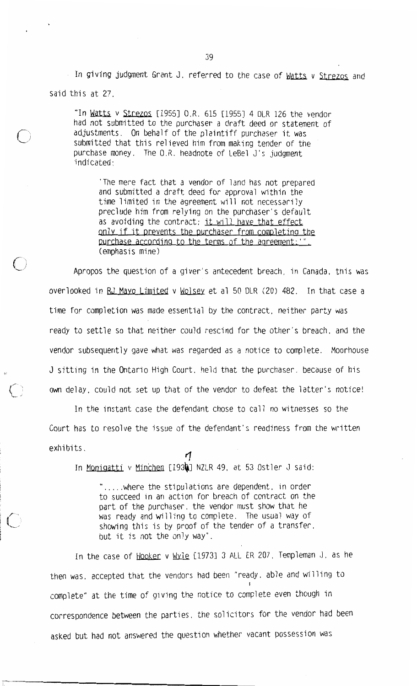In giving judgment Grant J, referred to the case of Watts v Strezos and said this at 27.

"In Watts v Strezos [1955] O.R. 615 [1955] 4 DLR 126 the vendor had not submitted to the purchaser a draft deed or statement of adjustments. On behalf of the plaintiff purchaser it was submitted that this relieved him from making tender of the purchase money. The O.R. headnote of LeBel J's judgment indicated:

The mere fact that a vendor of land has not prepared and submitted a draft deed for approval within the time limited in the agreement will not necessarily preclude him from relying on the purchaser's default as avoiding the contract; it will have that effect only if it prevents the purchaser from completing the purchase according to the terms of the agreement: " (emphasis mine)

Apropos the question of a giver's antecedent breach, in Canada, this was overlooked in RJ Mayo Limited v Wolsey et al 50 DLR (20) 482. In that case a time for completion was made essential by the contract, neither party was ready to settle so that neither could rescind for the other's breach, and the vendor subsequently gave what was regarded as a notice to complete. Moorhouse J sitting in the Ontario High Court, held that the purchaser, because of his own delay, could not set up that of the vendor to defeat the latter's notice!

In the instant case the defendant chose to call no witnesses so the Court has to resolve the issue of the defendant's readiness from the written exhibits. Ч

In Monigatti v Minchen [1934] NZLR 49, at 53 Ostler J said:

"..... where the stipulations are dependent, in order to succeed in an action for breach of contract on the part of the purchaser, the vendor must show that he was ready and willing to complete. The usual way of showing this is by proof of the tender of a transfer. but it is not the only way".

In the case of Hooker v Wyle [1973] 3 ALL ER 207. Templeman J. as he then was, accepted that the vendors had been "ready, able and willing to complete" at the time of giving the notice to complete even though in correspondence between the parties, the solicitors for the vendor had been asked but had not answered the question whether vacant possession was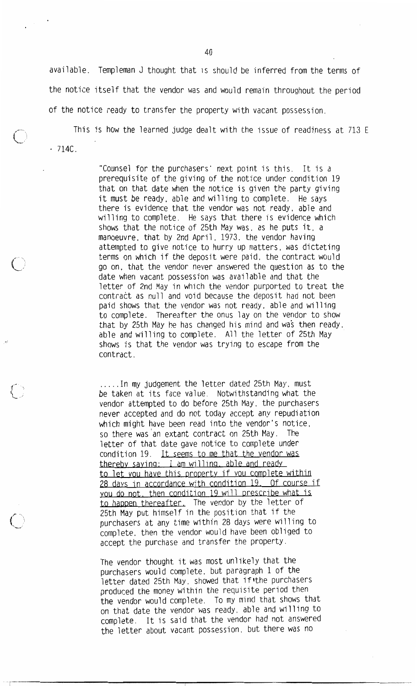available. Templeman J thought that is should be inferred from the terms of the notice itself that the vendor was and would remain throughout the period of the notice ready to transfer the property with vacant possession.

This is how the learned judge dealt with the issue of readiness at 713 E  $-714C$ .

> "Counsel for the purchasers' next point is this. It is a prerequisite of the giving of the notice under condition 19 that on that date when the notice is given the party giving it must be ready, able and willing to complete. He says there is evidence that the vendor was not ready, able and willing to complete. He says that there is evidence which shows that the notice of 25th May was, as he puts it, a manoeuvre, that by 2nd April, 1973, the vendor having attempted to give notice to hurry up matters, was dictating terms on which if the deposit were paid, the contract would go on, that the vendor never answered the question as to the date when vacant possession was available and that the letter of 2nd May in which the vendor purported to treat the contract as null and void because the deposit had not been paid shows that the vendor was not ready, able and willing to complete. Thereafter the onus lay on the vendor to show that by 25th May he has changed his mind and was then ready. able and willing to complete. All the letter of 25th May shows is that the vendor was trying to escape from the contract.

.....In my judgement the letter dated 25th May, must be taken at its face value. Notwithstanding what the vendor attempted to do before 25th May, the purchasers never accepted and do not today accept any repudiation which might have been read into the vendor's notice, so there was an extant contract on 25th May. The letter of that date gave notice to complete under condition 19. It seems to me that the vendor was thereby saying: I am willing, able and ready to let you have this property if you complete within 28 days in accordance with condition 19. Of course if you do not, then condition 19 will prescribe what is to happen thereafter. The vendor by the letter of 25th May put himself in the position that if the purchasers at any time within 28 days were willing to complete, then the vendor would have been obliged to accept the purchase and transfer the property.

The vendor thought it was most unlikely that the purchasers would complete. but paragraph 1 of the letter dated 25th May, showed that if the purchasers produced the money within the requisite period then the vendor would complete. To my mind that shows that on that date the vendor was ready, able and willing to complete. It is said that the vendor had not answered the letter about vacant possession, but there was no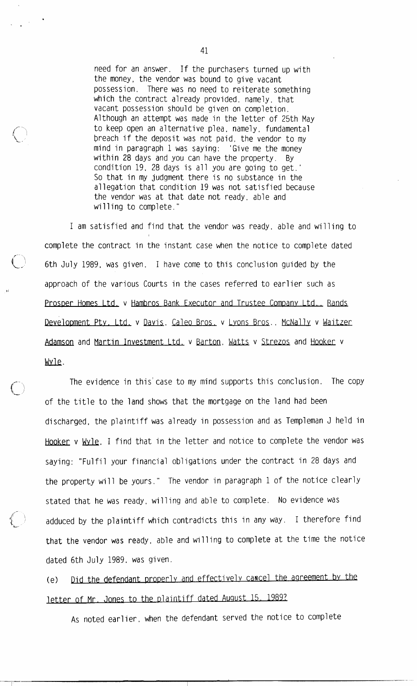need for an answer. If the purchasers turned up with the money, the vendor was bound to give vacant possession. There was no need to reiterate something which the contract already provided, namely, that vacant possession should be given on completion. Although an attempt was made in the letter of 25th May to keep open an alternative plea, namely, fundamental breach if the deposit was not paid, the vendor to my mind in paragraph 1 was saying: 'Give me the money within 28 days and you can have the property. By condition 19, 28 days is all you are going to get.' So that in my judgment there is no substance in the allegation that condition 19 was not satisfied because the vendor was at that date not ready, able and willing to complete."

I am satisfied and find that the vendor was ready, able and willing to complete the contract in the instant case when the notice to complete dated 6th July 1989, was given. I have come to this conclusion guided by the approach of the various Courts in the cases referred to earlier such as Prosper Homes Ltd. v Hambros Bank Executor and Trustee Company Ltd.. Rands Development Pty. Ltd. v Davis. Caleo Bros. v Lyons Bros.. McNally v Waitzer Adamson and Martin Investment Ltd. v Barton. Watts v Strezos and Hooker v Wyle.

The evidence in this' case to my mind supports this conclusion. The copy of the title to the land shows that the mortgage on the land had been discharged, the plaintiff was already in possession and as Templeman J held in Hooker v Wyle, I find that in the letter and notice to complete the vendor was saying: "Fulfil your financial obligations under the contract in 28 days and the property will be yours." The vendor in paragraph 1 of the notice clearly stated that he was ready, willing and able to complete. No evidence was adduced by the plaintiff which contradicts this in any way. I therefore find that the vendor was ready, able and willing to complete at the time the notice dated 6th July 1989, was given.

Did the defendant properly and effectively cancel the agreement by the  $(e)$ letter of Mr. Jones to the plaintiff dated August 15, 1989?

As noted earlier, when the defendant served the notice to complete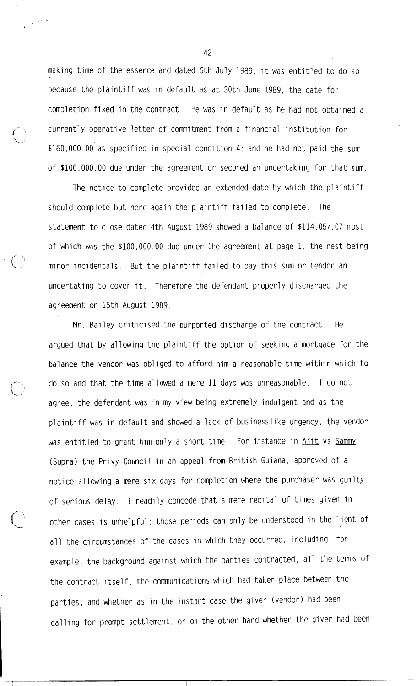making time of the essence and dated 6th July 1989, it was entitled to do so because the plaintiff was in default as at 30th June 1989, the date for completion fixed in the contract. He was in default as he had not obtained a currently operative letter of commitment from a financial institution for \$160,000.00 as specified in special condition 4; and he had not paid the sum of \$100,000.00 due under the agreement or secured an undertaking for that sum.

The notice to complete provided an extended date by which the plaintiff should complete but here again the plaintiff failed to complete. The statement to close dated 4th August 1989 showed a balance of \$114,057.07 most of which was the \$100,000.00 due under the agreement at page 1, the rest being minor incidentals. But the plaintiff failed to pay this sum or tender an undertaking to cover it. Therefore the defendant properly discharged the agreement on 15th August 1989.

Mr. Bailey criticised the purported discharge of the contract. He argued that by allowing the plaintiff the option of seeking a mortgage for the balance the vendor was obliged to afford him a reasonable time within which to do so and that the time allowed a mere 11 days was unreasonable. I do not agree, the defendant was in my view being extremely indulgent and as the plaintiff was in default and showed a lack of businesslike urgency, the vendor was entitled to grant him only a short time. For instance in Aiit vs Sammy (Supra) the Privy Council in an appeal from British Guiana, approved of a notice allowing a mere six days for completion where the purchaser was guilty of serious delay. I readily concede that a mere recital of times given in other cases is unhelpful; those periods can only be understood in the light of all the circumstances of the cases in which they occurred, including, for example, the background against which the parties contracted, all the terms of the contract itself, the communications which had taken place between the parties, and whether as in the instant case the giver (vendor) had been calling for prompt settlement, or on the other hand whether the giver had been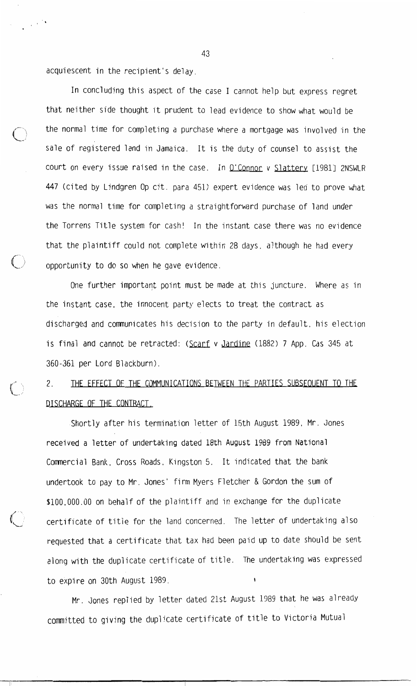acquiescent in the recipient's delay.

In concluding this aspect of the case I cannot help but express regret that neither side thought it prudent to lead evidence to show what would be the normal time for completing a purchase where a mortgage was involved in the sale of registered land in Jamaica. It is the duty of counsel to assist the court on every issue raised in the case. In O'Connor v Slattery [1981] 2NSWLR 447 (cited by Lindgren Op cit. para 451) expert evidence was led to prove what was the normal time for completing a straightforward purchase of land under the Torrens Title system for cash! In the instant case there was no evidence that the plaintiff could not complete within 28 days, although he had every opportunity to do so when he gave evidence.

One further important point must be made at this juncture. Where as in the instant case, the innocent party elects to treat the contract as discharged and communicates his decision to the party in default, his election is final and cannot be retracted: (Scarf v Jardine (1882) 7 App. Cas 345 at 360-361 per Lord Blackburn).

THE EFFECT OF THE COMMUNICATIONS BETWEEN THE PARTIES SUBSEQUENT TO THE  $2<sub>1</sub>$ DISCHARGE OF THE CONTRACT.

Shortly after his termination letter of 15th August 1989, Mr. Jones received a letter of undertaking dated 18th August 1989 from National Commercial Bank, Cross Roads, Kingston 5. It indicated that the bank undertook to pay to Mr. Jones' firm Myers Fletcher & Gordon the sum of \$100,000,00 on behalf of the plaintiff and in exchange for the duplicate certificate of title for the land concerned. The letter of undertaking also requested that a certificate that tax had been paid up to date should be sent along with the duplicate certificate of title. The undertaking was expressed to expire on 30th August 1989.

Mr. Jones replied by letter dated 21st August 1989 that he was already committed to giving the duplicate certificate of title to Victoria Mutual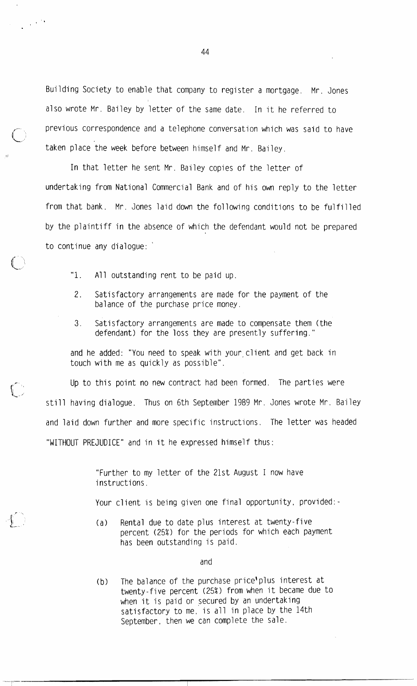Building Society to enable that company to register a mortgage. Mr. Jones also wrote Mr. Bailey by letter of the same date. In it he referred to previous correspondence and a telephone conversation which was said to have taken place the week before between himself and Mr. Bailey.

In that letter he sent Mr. Bailey copies of the letter of undertaking from National Commercial Bank and of his own reply to the letter from that bank. Mr. Jones laid down the following conditions to be fulfilled by the plaintiff in the absence of which the defendant would not be prepared to continue any dialogue:

- "1. All outstanding rent to be paid up.
- 2. Satisfactory arrangements are made for the payment of the balance of the purchase price money.
- $3.$ Satisfactory arrangements are made to compensate them (the defendant) for the loss they are presently suffering."

and he added: "You need to speak with your client and get back in touch with me as quickly as possible".

Up to this point no new contract had been formed. The parties were still having dialogue. Thus on 6th September 1989 Mr. Jones wrote Mr. Bailey and laid down further and more specific instructions. The letter was headed "WITHOUT PREJUDICE" and in it he expressed himself thus:

> "Further to my letter of the 21st August I now have instructions.

Your client is being given one final opportunity, provided:-

Rental due to date plus interest at twenty-five  $(a)$ percent (25%) for the periods for which each payment has been outstanding is paid.

and

The balance of the purchase price'plus interest at  $(b)$ twenty-five percent (25%) from when it became due to when it is paid or secured by an undertaking satisfactory to me, is all in place by the 14th September, then we can complete the sale.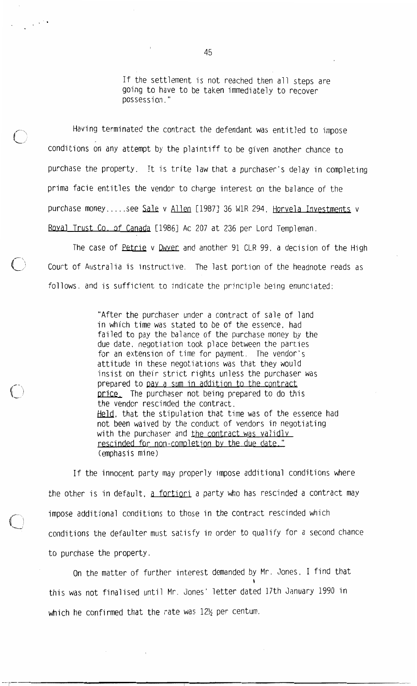If the settlement is not reached then all steps are going to have to be taken immediately to recover possession."

Having terminated the contract the defendant was entitled to impose conditions on any attempt by the plaintiff to be given another chance to purchase the property. It is trite law that a purchaser's delay in completing prima facie entitles the vendor to charge interest on the balance of the purchase money.....see Sale v Allen [1987] 36 W1R 294, Horvela Investments v Royal Trust Co. of Canada [1986] Ac 207 at 236 per Lord Templeman.

The case of Petrie v Dwyer and another 91 CLR 99, a decision of the High Court of Australia is instructive. The last portion of the headnote reads as follows, and is sufficient to indicate the principle being enunciated:

> "After the purchaser under a contract of sale of land in which time was stated to be of the essence, had failed to pay the balance of the purchase money by the due date, negotiation took place between the parties for an extension of time for payment. The vendor's attitude in these negotiations was that they would insist on their strict rights unless the purchaser was prepared to pay a sum in addition to the contract price. The purchaser not being prepared to do this the vendor rescinded the contract. Held, that the stipulation that time was of the essence had not been waived by the conduct of vendors in negotiating with the purchaser and the contract was validly rescinded for non-completion by the due date." (emphasis mine)

If the innocent party may properly impose additional conditions where the other is in default, a fortiori a party who has rescinded a contract may impose additional conditions to those in the contract rescinded which conditions the defaulter must satisfy in order to qualify for a second chance to purchase the property.

On the matter of further interest demanded by Mr. Jones, I find that this was not finalised until Mr. Jones' letter dated 17th January 1990 in which he confirmed that the rate was 121/2 per centum.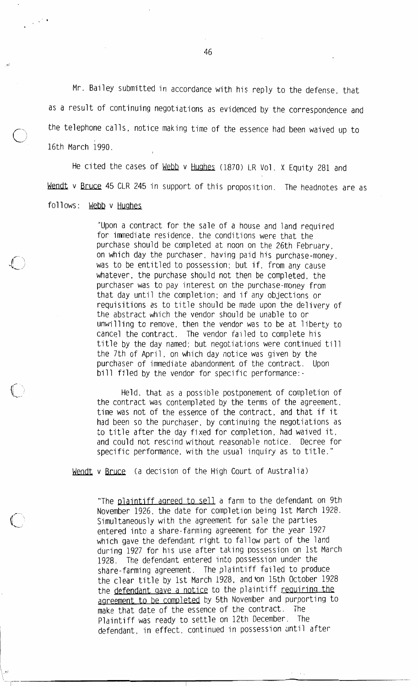Mr. Bailey submitted in accordance with his reply to the defense, that as a result of continuing negotiations as evidenced by the correspondence and the telephone calls, notice making time of the essence had been waived up to 16th March 1990.

He cited the cases of Webb v Hughes (1870) LR Vol. X Equity 281 and Wendt v Bruce 45 CLR 245 in support of this proposition. The headnotes are as follows: Webb v Hughes

> "Upon a contract for the sale of a house and land required for immediate residence, the conditions were that the purchase should be completed at noon on the 26th February, on which day the purchaser, having paid his purchase-money, was to be entitled to possession; but if, from any cause whatever, the purchase should not then be completed, the purchaser was to pay interest on the purchase-money from that day until the completion; and if any objections or requisitions as to title should be made upon the delivery of the abstract which the vendor should be unable to or unwilling to remove, then the vendor was to be at liberty to cancel the contract. The vendor failed to complete his title by the day named; but negotiations were continued till the 7th of April, on which day notice was given by the purchaser of immediate abandonment of the contract. **I**lnon bill filed by the vendor for specific performance:-

> Held, that as a possible postponement of completion of the contract was contemplated by the terms of the agreement, time was not of the essence of the contract, and that if it had been so the purchaser, by continuing the negotiations as to title after the day fixed for completion, had waived it, and could not rescind without reasonable notice. Decree for specific performance, with the usual inquiry as to title."

Wendt v Bruce (a decision of the High Court of Australia)

"The plaintiff agreed to sell a farm to the defendant on 9th November 1926, the date for completion being 1st March 1928. Simultaneously with the agreement for sale the parties entered into a share-farming agreement for the year 1927 which gave the defendant right to fallow part of the land during 1927 for his use after taking possession on 1st March 1928. The defendant entered into possession under the share-farming agreement. The plaintiff failed to produce the clear title by 1st March 1928, and on 15th October 1928 the defendant gave a notice to the plaintiff requiring the agreement to be completed by 5th November and purporting to make that date of the essence of the contract. The Plaintiff was ready to settle on 12th December. The defendant, in effect, continued in possession until after

46

 $\sim$   $^{11}$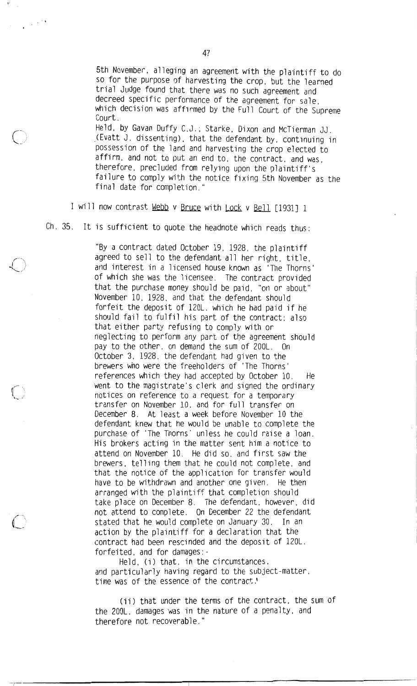5th November, alleging an agreement with the plaintiff to do so for the purpose of harvesting the crop, but the learned trial Judge found that there was no such agreement and decreed specific performance of the agreement for sale, which decision was affirmed by the Full Court of the Supreme Court.

Held, by Gavan Duffy C.J.; Starke, Dixon and McTierman JJ. (Evatt J. dissenting), that the defendant by, continuing in possession of the land and harvesting the crop elected to affirm, and not to put an end to, the contract, and was, therefore, precluded from relying upon the plaintiff's failure to comply with the notice fixing 5th November as the final date for completion."

I will now contrast Webb v Bruce with Lock v Bell [1931] 1

 $Ch. 35.$ It is sufficient to quote the headnote which reads thus:

> "By a contract dated October 19, 1928, the plaintiff agreed to sell to the defendant all her right, title. and interest in a licensed house known as 'The Thorns' of which she was the licensee. The contract provided that the purchase money should be paid, "on or about" November 10, 1928, and that the defendant should forfeit the deposit of 120L. which he had paid if he should fail to fulfil his part of the contract; also that either party refusing to comply with or neglecting to perform any part of the agreement should pay to the other, on demand the sum of 200L. On October 3, 1928, the defendant had given to the brewers who were the freeholders of 'The Thorns' references which they had accepted by October 10. He went to the magistrate's clerk and signed the ordinary notices on reference to a request for a temporary transfer on November 10, and for full transfer on December 8. At least a week before November 10 the defendant knew that he would be unable to complete the purchase of 'The Thorns' unless he could raise a loan. His brokers acting in the matter sent him a notice to attend on November 10. He did so, and first saw the brewers, telling them that he could not complete, and that the notice of the application for transfer would have to be withdrawn and another one given. He then arranged with the plaintiff that completion should take place on December 8. The defendant, however, did not attend to complete. On December 22 the defendant stated that he would complete on January 30. In an action by the plaintiff for a declaration that the contract had been rescinded and the deposit of 120L. forfeited, and for damages:-

Held. (i) that, in the circumstances, and particularly having regard to the subject-matter, time was of the essence of the contract.

(ii) that under the terms of the contract, the sum of the 200L. damages was in the nature of a penalty, and therefore not recoverable."

 $\mathcal{L}^{(k)}$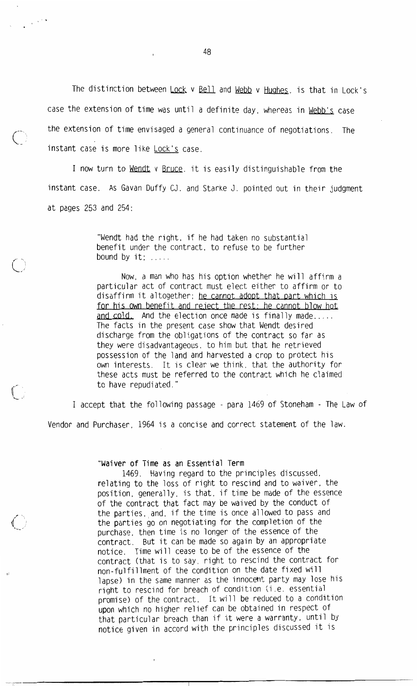The distinction between Lock v Bell and Webb v Hughes, is that in Lock's case the extension of time was until a definite day, whereas in Webb's case the extension of time envisaged a general continuance of negotiations. The instant case is more like Lock's case.

I now turn to Wendt v Bruce. it is easily distinguishable from the instant case. As Gavan Duffy CJ. and Starke J. pointed out in their judgment at pages 253 and 254:

> "Wendt had the right, if he had taken no substantial benefit under the contract, to refuse to be further bound by  $it:$  .....

Now, a man who has his option whether he will affirm a particular act of contract must elect either to affirm or to disaffirm it altogether; he cannot adopt that part which is for his own benefit and reject the rest: he cannot blow hot and cold. And the election once made is finally made..... The facts in the present case show that Wendt desired discharge from the obligations of the contract so far as they were disadvantageous, to him but that he retrieved possession of the land and harvested a crop to protect his own interests. It is clear we think, that the authority for these acts must be referred to the contract which he claimed to have repudiated."

I accept that the following passage - para 1469 of Stoneham - The Law of Vendor and Purchaser, 1964 is a concise and correct statement of the law.

"Waiver of Time as an Essential Term

1469. Having regard to the principles discussed, relating to the loss of right to rescind and to waiver, the position, generally, is that, if time be made of the essence of the contract that fact may be waived by the conduct of the parties, and, if the time is once allowed to pass and the parties go on negotiating for the completion of the purchase, then time is no longer of the essence of the contract. But it can be made so again by an appropriate notice. Time will cease to be of the essence of the contract (that is to say, right to rescind the contract for non-fulfillment of the condition on the date fixed will lapse) in the same manner as the innocent party may lose his right to rescind for breach of condition (i.e. essential promise) of the contract. It will be reduced to a condition upon which no higher relief can be obtained in respect of that particular breach than if it were a warranty, until by notice given in accord with the principles discussed it is

48

 $\frac{1}{2}$  ,  $\frac{1}{2}$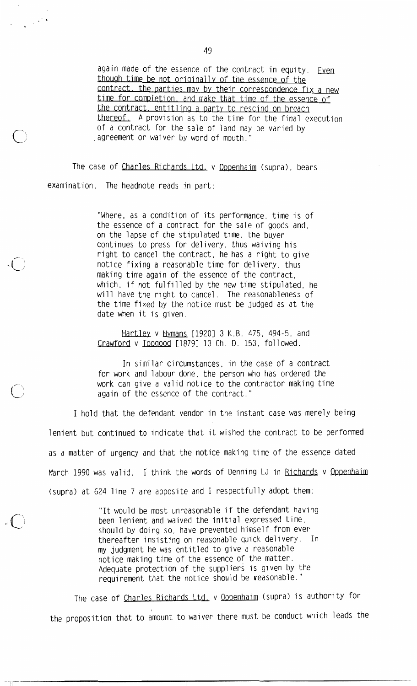again made of the essence of the contract in equity. Even though time be not originally of the essence of the contract, the parties may by their correspondence fix a new time for completion, and make that time of the essence of the contract, entitling a party to rescind on breach thereof. A provision as to the time for the final execution of a contract for the sale of land may be varied by agreement or waiver by word of mouth.'

The case of Charles Richards Ltd. v Oppenhaim (supra), bears examination. The headnote reads in part:

 $\frac{1}{2} \left( \frac{1}{2} \right)^{2} \left( \frac{1}{2} \right)^{2}$ 

"Where, as a condition of its performance, time is of the essence of a contract for the sale of goods and, on the lapse of the stipulated time, the buyer continues to press for delivery, thus waiving his right to cancel the contract, he has a right to give notice fixing a reasonable time for delivery, thus making time again of the essence of the contract, which, if not fulfilled by the new time stipulated, he will have the right to cancel. The reasonableness of the time fixed by the notice must be judged as at the date when it is given.

Hartley v Hymans [1920] 3 K.B. 475, 494-5, and Crawford v Toogood [1879] 13 Ch. D. 153, followed.

In similar circumstances, in the case of a contract for work and labour done, the person who has ordered the work can give a valid notice to the contractor making time again of the essence of the contract.'

I hold that the defendant vendor in the instant case was merely being lenient but continued to indicate that it wished the contract to be performed as a matter of urgency and that the notice making time of the essence dated March 1990 was valid. I think the words of Denning LJ in Richards v Oppenhaim (supra) at 624 line 7 are apposite and I respectfully adopt them:

> "It would be most unreasonable if the defendant having been lenient and waived the initial expressed time, should by doing so, have prevented himself from ever thereafter insisting on reasonable quick delivery. In my judgment he was entitled to give a reasonable notice making time of the essence of the matter. Adequate protection of the suppliers is given by the requirement that the notice should be reasonable."

The case of Charles Richards Ltd. v Oppenhaim (supra) is authority for the proposition that to amount to waiver there must be conduct which leads the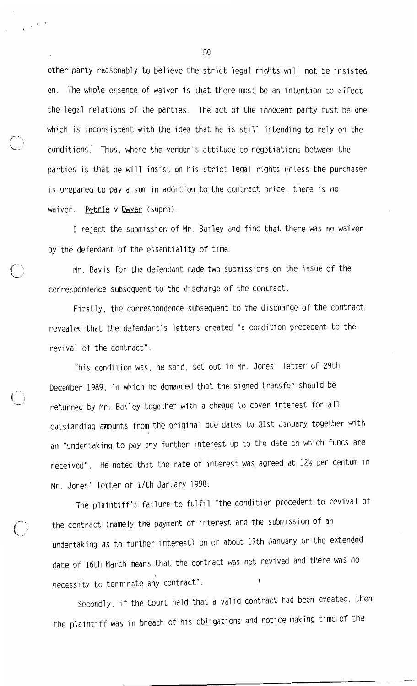other party reasonably to believe the strict legal rights will not be insisted on. The whole essence of waiver is that there must be an intention to affect the legal relations of the parties. The act of the innocent party must be one which is inconsistent with the idea that he is still intending to rely on the conditions. Thus, where the vendor's attitude to negotiations between the parties is that he will insist on his strict legal rights unless the purchaser is prepared to pay a sum in addition to the contract price, there is no waiver. Petrie v Dwyer (supra).

I reject the submission of Mr. Bailey and find that there was no waiver by the defendant of the essentiality of time.

Mr. Davis for the defendant made two submissions on the issue of the correspondence subsequent to the discharge of the contract.

Firstly, the correspondence subsequent to the discharge of the contract revealed that the defendant's letters created "a condition precedent to the revival of the contract".

This condition was, he said, set out in Mr. Jones' letter of 29th December 1989, in which he demanded that the signed transfer should be returned by Mr. Bailey together with a cheque to cover interest for all outstanding amounts from the original due dates to 31st January together with an "undertaking to pay any further interest up to the date on which funds are received". He noted that the rate of interest was agreed at 12½ per centum in Mr. Jones' letter of 17th January 1990.

The plaintiff's failure to fulfil "the condition precedent to revival of the contract (namely the payment of interest and the submission of an undertaking as to further interest) on or about 17th January or the extended date of 16th March means that the contract was not revived and there was no necessity to terminate any contract".

Secondly, if the Court held that a valid contract had been created, then the plaintiff was in breach of his obligations and notice making time of the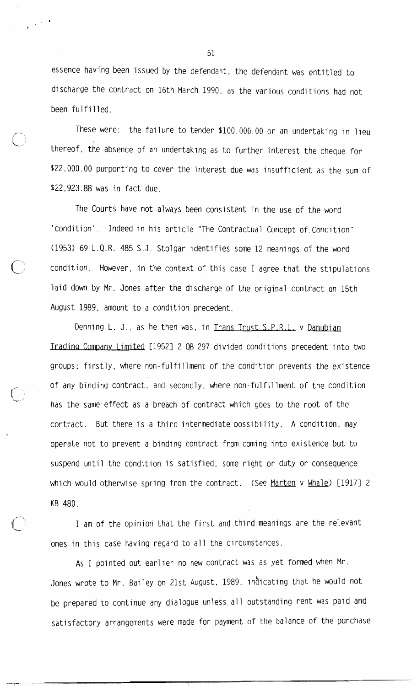essence having been issued by the defendant, the defendant was entitled to discharge the contract on 16th March 1990, as the various conditions had not been fulfilled.

These were: the failure to tender \$100,000.00 or an undertaking in lieu thereof, the absence of an undertaking as to further interest the cheque for \$22,000.00 purporting to cover the interest due was insufficient as the sum of \$22,923.88 was in fact due.

The Courts have not always been consistent in the use of the word 'condition'. Indeed in his article "The Contractual Concept of Condition" (1953) 69 L.Q.R. 485 S.J. Stolgar identifies some 12 meanings of the word condition. However, in the context of this case I agree that the stipulations laid down by Mr. Jones after the discharge of the original contract on 15th August 1989, amount to a condition precedent.

Denning L. J., as he then was, in Trans Trust S.P.R.L. v Danubian Trading Company Limited [1952] 2 QB 297 divided conditions precedent into two groups: firstly, where non-fulfillment of the condition prevents the existence of any binding contract, and secondly, where non-fulfillment of the condition has the same effect as a breach of contract which goes to the root of the contract. But there is a third intermediate possibility. A condition, may operate not to prevent a binding contract from coming into existence but to suspend until the condition is satisfied, some right or duty or consequence which would otherwise spring from the contract. (See Marten v Whale) [1917] 2 KB 480.

I am of the opinion that the first and third meanings are the relevant ones in this case having regard to all the circumstances.

As I pointed out earlier no new contract was as yet formed when Mr. Jones wrote to Mr. Bailey on 21st August. 1989. indicating that he would not be prepared to continue any dialogue unless all outstanding rent was paid and satisfactory arrangements were made for payment of the balance of the purchase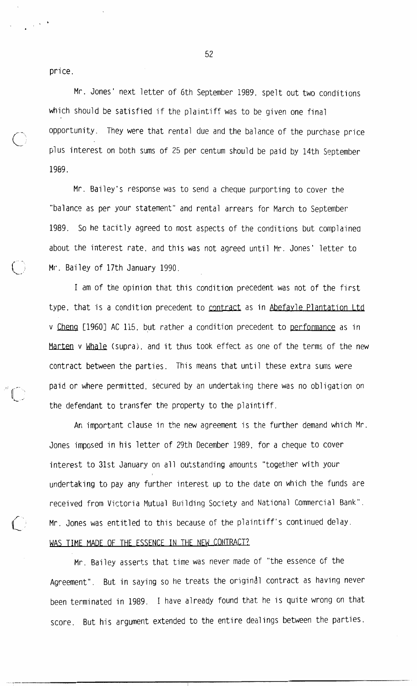price.

Mr. Jones' next letter of 6th September 1989, spelt out two conditions which should be satisfied if the plaintiff was to be given one final opportunity. They were that rental due and the balance of the purchase price plus interest on both sums of 25 per centum should be paid by 14th September 1989.

Mr. Bailey's response was to send a cheque purporting to cover the "balance as per your statement" and rental arrears for March to September 1989. So he tacitly agreed to most aspects of the conditions but complained about the interest rate, and this was not agreed until Mr. Jones' letter to Mr. Bailey of 17th January 1990.

I am of the opinion that this condition precedent was not of the first type, that is a condition precedent to contract as in Abefayle Plantation Ltd v Cheng [1960] AC 115, but rather a condition precedent to performance as in Marten v Whale (supra), and it thus took effect as one of the terms of the new contract between the parties. This means that until these extra sums were paid or where permitted, secured by an undertaking there was no obligation on the defendant to transfer the property to the plaintiff.

An important clause in the new agreement is the further demand which Mr. Jones imposed in his letter of 29th December 1989, for a cheque to cover interest to 31st January on all outstanding amounts "together with your undertaking to pay any further interest up to the date on which the funds are received from Victoria Mutual Building Society and National Commercial Bank". Mr. Jones was entitled to this because of the plaintiff's continued delay. WAS TIME MADE OF THE ESSENCE IN THE NEW CONTRACT?

Mr. Bailey asserts that time was never made of "the essence of the Agreement". But in saying so he treats the original contract as having never been terminated in 1989. I have already found that he is quite wrong on that score. But his argument extended to the entire dealings between the parties,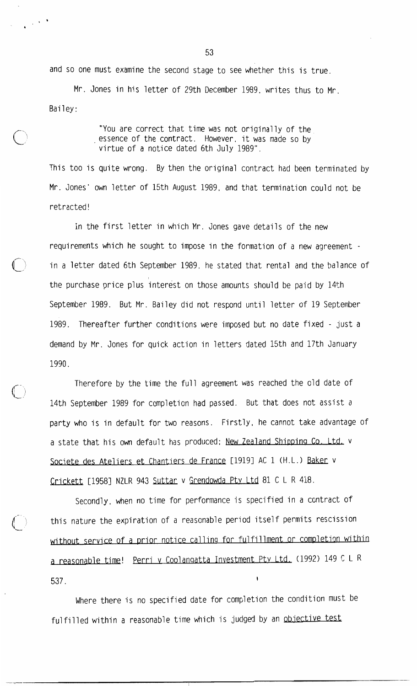and so one must examine the second stage to see whether this is true.

Mr. Jones in his letter of 29th December 1989, writes thus to Mr. Bailey:

> "You are correct that time was not originally of the essence of the contract. However, it was made so by virtue of a notice dated 6th July 1989".

This too is quite wrong. By then the original contract had been terminated by Mr. Jones' own letter of 15th August 1989, and that termination could not be retracted!

In the first letter in which Mr. Jones gave details of the new requirements which he sought to impose in the formation of a new agreement in a letter dated 6th September 1989, he stated that rental and the balance of the purchase price plus interest on those amounts should be paid by 14th September 1989. But Mr. Bailey did not respond until letter of 19 September 1989. Thereafter further conditions were imposed but no date fixed - just a demand by Mr. Jones for quick action in letters dated 15th and 17th January 1990.

Therefore by the time the full agreement was reached the old date of 14th September 1989 for completion had passed. But that does not assist a party who is in default for two reasons. Firstly, he cannot take advantage of a state that his own default has produced: New Zealand Shipping Co. Ltd. v Societe des Ateliers et Chantiers de France [1919] AC 1 (H.L.) Baker v Crickett [1958] NZLR 943 Suttar v Grendowda Pty Ltd 81 C L R 418.

Secondly, when no time for performance is specified in a contract of this nature the expiration of a reasonable period itself permits rescission without service of a prior notice calling for fulfillment or completion within a reasonable time! Perri v Coolangatta Investment Pty Ltd. (1992) 149 C L R 537.

Where there is no specified date for completion the condition must be fulfilled within a reasonable time which is judged by an objective test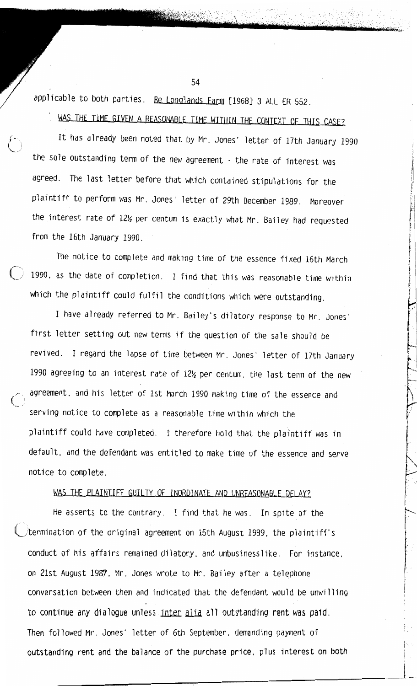applicable to both parties. Re Longlands Farm [1968] 3 ALL ER 552.

WAS THE TIME GIVEN A REASONABLE TIME WITHIN THE CONTEXT OF THIS CASE?

54

It has already been noted that by Mr. Jones' letter of 17th January 1990 the sole outstanding term of the new agreement - the rate of interest was agreed. The last letter before that which contained stipulations for the plaintiff to perform was Mr. Jones' letter of 29th December 1989. Moreover the interest rate of 12½ per centum is exactly what Mr. Bailey had requested from the 16th January 1990.

The notice to complete and making time of the essence fixed 16th March 1990. as the date of completion. I find that this was reasonable time within which the plaintiff could fulfil the conditions which were outstanding.

I have already referred to Mr. Bailey's dilatory response to Mr. Jones' first letter setting out new terms if the question of the sale should be revived. I regard the lapse of time between Mr. Jones' letter of 17th January 1990 agreeing to an interest rate of 12½ per centum, the last term of the new agreement, and his letter of 1st March 1990 making time of the essence and serving notice to complete as a reasonable time within which the plaintiff could have completed. I therefore hold that the plaintiff was in default, and the defendant was entitled to make time of the essence and serve notice to complete.

# WAS THE PLAINTIFF GUILTY OF INORDINATE AND UNREASONABLE DELAY?

He asserts to the contrary. I find that he was. In spite of the termination of the original agreement on 15th August 1989, the plaintiff's conduct of his affairs remained dilatory, and unbusinesslike. For instance, on 21st August 1987, Mr. Jones wrote to Mr. Bailey after a telephone conversation between them and indicated that the defendant would be unwilling to continue any dialogue unless inter alia all outstanding rent was paid. Then followed Mr. Jones' letter of 6th September, demanding payment of outstanding rent and the balance of the purchase price, plus interest on both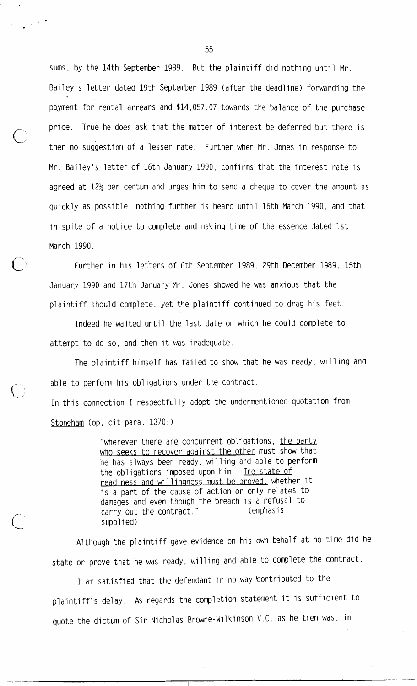sums, by the 14th September 1989. But the plaintiff did nothing until Mr. Bailey's letter dated 19th September 1989 (after the deadline) forwarding the payment for rental arrears and \$14,057.07 towards the balance of the purchase price. True he does ask that the matter of interest be deferred but there is then no suggestion of a lesser rate. Further when Mr. Jones in response to Mr. Bailey's letter of 16th January 1990, confirms that the interest rate is agreed at 12½ per centum and urges him to send a cheque to cover the amount as quickly as possible, nothing further is heard until 16th March 1990, and that in spite of a notice to complete and making time of the essence dated 1st March 1990.

Further in his letters of 6th September 1989, 29th December 1989, 15th January 1990 and 17th January Mr. Jones showed he was anxious that the plaintiff should complete, yet the plaintiff continued to drag his feet.

Indeed he waited until the last date on which he could complete to attempt to do so, and then it was inadequate.

The plaintiff himself has failed to show that he was ready, willing and able to perform his obligations under the contract. In this connection I respectfully adopt the undermentioned quotation from

Stoneham (op.  $cit$  para.  $1370:$ )

"wherever there are concurrent obligations, the party who seeks to recover against the other must show that he has always been ready, willing and able to perform the obligations imposed upon him. The state of readiness and willingness must be proved, whether it is a part of the cause of action or only relates to damages and even though the breach is a refusal to carry out the contract." (emphasis supplied)

Although the plaintiff gave evidence on his own behalf at no time did he state or prove that he was ready, willing and able to complete the contract.

I am satisfied that the defendant in no way contributed to the plaintiff's delay. As regards the completion statement it is sufficient to quote the dictum of Sir Nicholas Browne-Wilkinson V.C. as he then was, in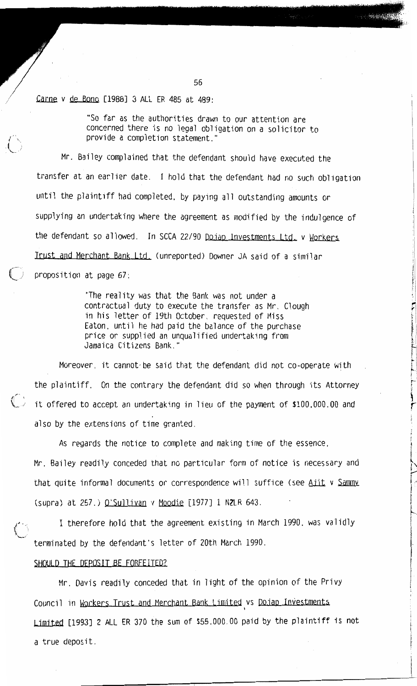Carne v de Bono [1988] 3 ALL ER 485 at 489:

"So far as the authorities drawn to our attention are concerned there is no legal obligation on a solicitor to provide a completion statement.'

Mr. Bailey complained that the defendant should have executed the transfer at an earlier date. I hold that the defendant had no such obligation until the plaintiff had completed, by paying all outstanding amounts or supplying an undertaking where the agreement as modified by the indulgence of the defendant so allowed. In SCCA 22/90 Dojap Investments Ltd. v Workers Irust and Merchant Bank Ltd. (unreported) Downer JA said of a similar proposition at page 67:

> "The reality was that the Bank was not under a contractual duty to execute the transfer as Mr. Clough in his letter of 19th October, requested of Miss Eaton, until he had paid the balance of the purchase price or supplied an unqualified undertaking from Jamaica Citizens Bank."

Moreover, it cannot be said that the defendant did not co-operate with the plaintiff. On the contrary the defendant did so when through its Attorney  $\overrightarrow{C}$  it offered to accept an undertaking in lieu of the payment of \$100,000.00 and also by the extensions of time granted.

As regards the notice to complete and making time of the essence. Mr. Bailey readily conceded that no particular form of notice is necessary and that quite informal documents or correspondence will suffice (see Aiit v Sammy (supra) at 257.) O'Sullivan v Moodie [1977] 1 NZLR 643.

I therefore hold that the agreement existing in March 1990, was validly terminated by the defendant's letter of 20th March 1990.

## SHOULD THE DEPOSIT BE FORFEITED?

Mr. Davis readily conceded that in light of the opinion of the Privy Council in Workers Trust and Merchant Bank Limited vs Dojap Investments Limited [1993] 2 ALL ER 370 the sum of \$55,000.00 paid by the plaintiff is not a true deposit.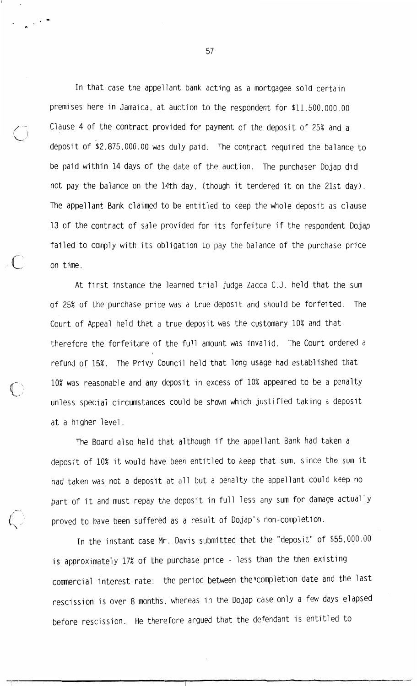In that case the appellant bank acting as a mortgagee sold certain premises here in Jamaica, at auction to the respondent for \$11,500,000.00 Clause 4 of the contract provided for payment of the deposit of 25% and a deposit of \$2,875,000.00 was duly paid. The contract required the balance to be paid within 14 days of the date of the auction. The purchaser Dojap did not pay the balance on the 14th day, (though it tendered it on the 21st day). The appellant Bank claimed to be entitled to keep the whole deposit as clause 13 of the contract of sale provided for its forfeiture if the respondent Dojap failed to comply with its obligation to pay the balance of the purchase price on time.

At first instance the learned trial judge Zacca C.J. held that the sum of 25% of the purchase price was a true deposit and should be forfeited. The Court of Appeal held that a true deposit was the customary 10% and that therefore the forfeiture of the full amount was invalid. The Court ordered a refund of 15%. The Privy Council held that long usage had established that 10% was reasonable and any deposit in excess of 10% appeared to be a penalty unless special circumstances could be shown which justified taking a deposit at a higher level.

The Board also held that although if the appellant Bank had taken a deposit of 10% it would have been entitled to keep that sum, since the sum it had taken was not a deposit at all but a penalty the appellant could keep no part of it and must repay the deposit in full less any sum for damage actually proved to have been suffered as a result of Dojap's non-completion.

In the instant case Mr. Davis submitted that the "deposit" of \$55,000.00 is approximately 17% of the purchase price - less than the then existing commercial interest rate: the period between the completion date and the last rescission is over 8 months, whereas in the Dojap case only a few days elapsed before rescission. He therefore argued that the defendant is entitled to